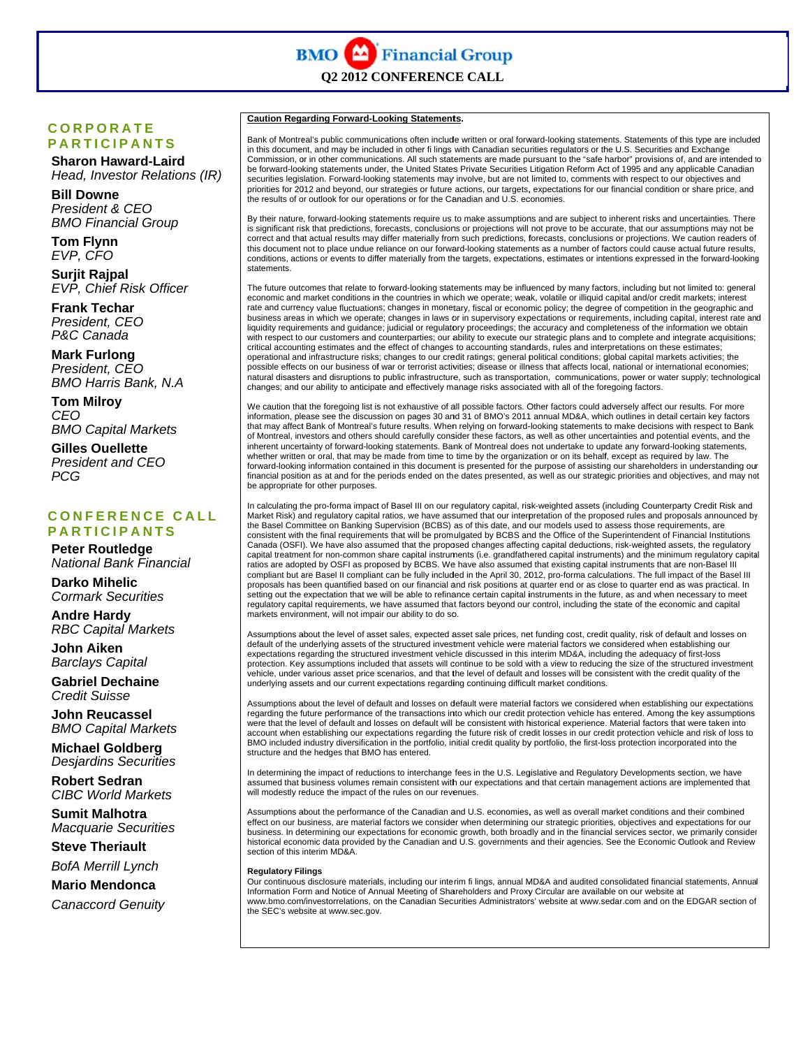## **C O R PORAT E E P A R TICIPA N TS**

 **Sha ron Haward--Laird** *Head, Investor Relations (IR)* 

 **Bill Downe** *Pres sident & CEO President & CEO<br>BMO Financial Group* 

 **Tom m Flynn**  $EVP, CFO$ 

 **Surj jit Rajpal**  $EVP$ , Chief Risk Officer

**Frank Techar**  *Pres sident, CEO P&C C Canada* 

 **Mar k Furlong** *Pres sident, CEO BMO Harris Bank, N.A* 

 **Tom m Milroy** *CEO BMO OO Capital Mar rkets* 

 **Gille es Ouellette** *President and CEO PCG G*

#### **C O N FEREN C E CALL P A R TICIPA N TS**

**Peter Routledge** *National Bank Financial* 

 **Dark ko Mihelic** *Cormark Securities* 

**Andre Hardy** *RBC* Capital Markets

 **Joh n Aiken**   *Barc clays Capital* 

**Gabriel Dechaine**  *Cred dit Suisse* 

 **Joh n Reucassel** *BMO* Capital Markets

**Michael Goldberg** *Desjardins Securities* 

 **Rob bert Sedran**   *CIBC C World Mark kets* 

 **Sum mit Malhotra**  *Macquarie Securities* 

**Steve Theriault** 

*BofA Merrill Lynch* 

 **Mar io Mendonca a**

*Canaccord Genuity* 

**Caution Regarding Forward-Looking Statements.** 

Bank of Montreal's public communications often include written or oral forward-looking statements. Statements of this type are included in this document, and may be included in other fi lings with Canadian securities regulators or the U.S. Securities and Exchange Commission, or in other communications. All such statements are made pursuant to the "safe harbor" provisions of, and are intended to be forward-looking statements under, the United States Private Securities Litigation Reform Act of 1995 and any applicable Canadian securities legislation. Forward-looking statements may involve, but are not limited to, comments with respect to our objectives and priorities for 2012 and beyond, our strategies or future actions, our targets, expectations for our financial condition or share price, and the results of or outlook for our operations or for the Canadian and U.S. economies.

By their nature, forward-looking statements require us to make assumptions and are subject to inherent risks and uncertainties. There is significant risk that predictions, forecasts, conclusions or projections will not prove to be accurate, that our assumptions may not be correct and that actual results may differ materially from such predictions, forecasts, conclusions or projections. We caution readers of<br>this document not to place undue reliance on our forward-looking statements as a num conditions, actions or events to differ materially from the targets, expectations, estimates or intentions expressed in the forward-looking statements.

The future outcomes that relate to forward-looking statements may be influenced by many factors, including but not limited to: general economic and market conditions in the countries in which we operate; weak, volatile or illiquid capital and/or credit markets; interest rate and currency value fluctuations; changes in monetary, fiscal or economic policy; the degree of competition in the geographic and business areas in which we operate; changes in laws or in supervisory expectations or requirements, including capital, interest rate and liquidity requirements and guidance; judicial or regulatory proceedings; the accuracy and completeness of the information we obtain with respect to our customers and counterparties; our ability to execute our strategic plans and to complete and integrate acquisitions; critical accounting estimates and the effect of changes to accounting standards, rules and interpretations on these estimates; operational and infrastructure risks; changes to our credit ratings; general political conditions; global capital markets activities; the possible effects on our business of war or terrorist activities; disease or illness that affects local, national or international economies; natural disasters and disruptions to public infrastructure, such as transportation, communications, power or water supply; technological changes; and our ability to anticipate and effectively manage risks associated with all of the foregoing factors.

We caution tha information, ple that may affect of Montreal, investors and others should carefully consider these factors, as well as other uncertainties and potential events, and the inherent uncertainty of forward-looking statements. Bank of Montreal does not undertake to update any forward-looking statements, whether written or oral, that may be made from time to time by the organization or on its behalf, except as required by law. The forward-looking information contained in this document is presented for the purpose of assisting our shareholders in understanding our financial position as at and for the periods ended on the dates presented, as well as our strategic priorities and objectives, and may not be appropriate for other purposes. at the foregoing list is ease see the discuss t Bank of Montreal's s not exhaustive of a sion on pages 30 an future results. When all possible factors. O nd 31 of BMO's 2011 n relying on forward-Other factors could a 1 annual MD&A, whic -looking statements t adversely affect our r ch outlines in detail c to make decisions w results. For more certain key factors with respect to Bank

In calculating the pro-forma impact of Basel III on our regulatory capital, risk-weighted assets (including Counterparty Credit Risk and Market Risk) and regulatory capital ratios, we have assumed that our interpretation of the proposed rules and proposals announced by<br>the Basel Committee on Banking Supervision (BCBS) as of this date, and our models used to consistent with the final requirements that will be promulgated by BCBS and the Office of the Superintendent of Financial Institutions Canada (OSFI). We have also assumed that the proposed changes affecting capital deductions, risk-weighted assets, the regulatory capital treatment for non-common share capital instruments (i.e. grandfathered capital instruments) and the minimum regulatory capital ratios are adopted by OSFI as proposed by BCBS. We have also assumed that existing capital instruments that are non-Basel III compliant but are Basel II compliant can be fully included in the April 30, 2012, pro-forma calculations. The full impact of the Basel III proposals has been quantified based on our financial and risk positions at quarter end or as close to quarter end as was practical. In setting out the expectation that we will be able to refinance certain capital instruments in the future, as and when necessary to meet regulatory capital requirements, we have assumed that factors beyond our control, including the state of the economic and capital markets environment, will not impair our ability to do so.

Assumptions about the level of asset sales, expected asset sale prices, net funding cost, credit quality, risk of default and losses on<br>default of the underlying assets of the structured investment vehicle were material fa expectations regarding the structured investment vehicle discussed in this interim MD&A, including the adequacy of first-loss protection. Key assumptions included that assets will continue to be sold with a view to reducing the size of the structured investment vehicle, under various asset price scenarios, and that the level of default and losses will be consistent with the credit quality of the underlying assets and our current expectations regarding continuing difficult market conditions.

Assumptions about the level of default and losses on default were material factors we considered when establishing our expectations<br>regarding the future performance of the transactions into which our credit protection vehi were that the level of default and losses on default will be consistent with historical experience. Material factors that were taken into account when establishing our expectations regarding the future risk of credit losses in our credit protection vehicle and risk of loss to BMO included industry diversification in the portfolio, initial credit quality by portfolio, the first-loss protection incorporated into the structure and the hedges that BMO has entered.

In determining the impact of reductions to interchange fees in the U.S. Legislative and Regulatory Developments section, we have assumed that business volumes remain consistent with our expectations and that certain management actions are implemented that will modestly reduce the impact of the rules on our revenues.

Assumptions about the performance of the Canadian and U.S. economies, as well as overall market conditions and their combined<br>effect on our business, are material factors we consider when determining our strategic prioriti business. In determining our expectations for economic growth, both broadly and in the financial services sector, we primarily consider historical economic data provided by the Canadian and U.S. governments and their agencies. See the Economic Outlook and Review section of this interim MD&A. r<br>I<br>al

#### **Regulatory Fi lings**

Our continuous disclosure materials, including our interim fi lings, annual MD&A and audited consolidated financial statements, Annua Information Form and Notice of Annual Meeting of Shareholders and Proxy Circular are available on our website at www.bmo.com/investorrelations, on the Canadian Securities Administrators' website at www.sedar.com and on the EDGAR section of the SEC's website at www.sec.gov.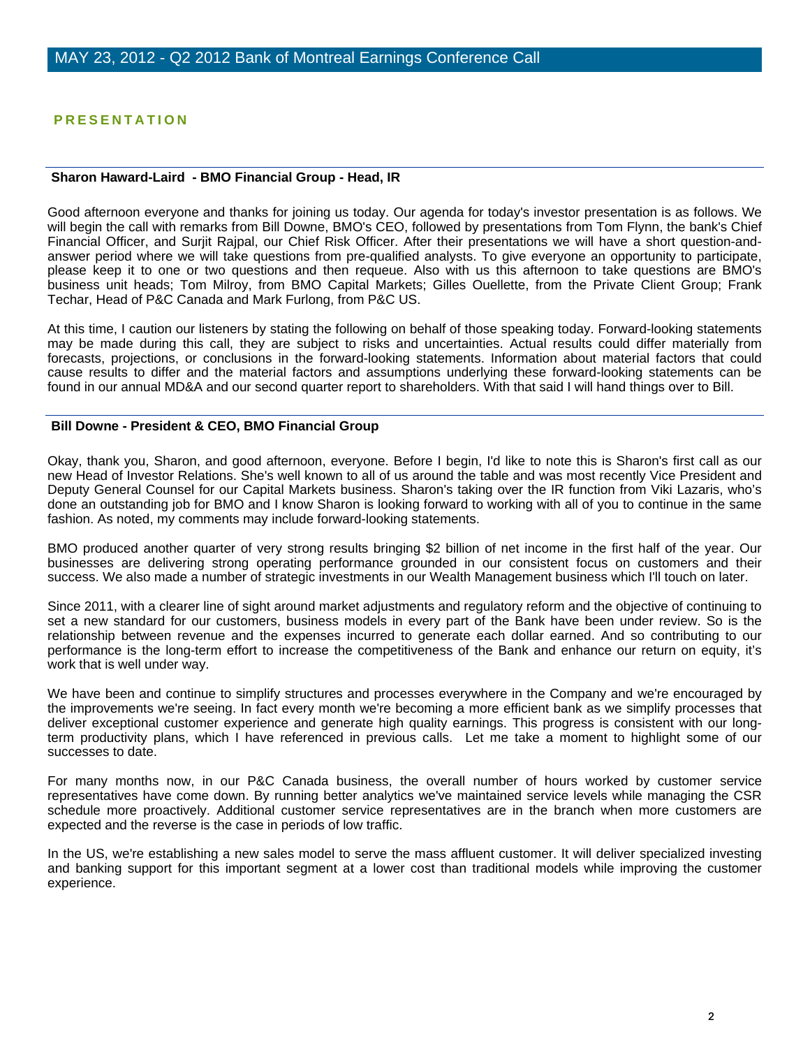## **PRESENTATION**

#### **Sharon Haward-Laird - BMO Financial Group - Head, IR**

Good afternoon everyone and thanks for joining us today. Our agenda for today's investor presentation is as follows. We will begin the call with remarks from Bill Downe, BMO's CEO, followed by presentations from Tom Flynn, the bank's Chief Financial Officer, and Surjit Rajpal, our Chief Risk Officer. After their presentations we will have a short question-andanswer period where we will take questions from pre-qualified analysts. To give everyone an opportunity to participate, please keep it to one or two questions and then requeue. Also with us this afternoon to take questions are BMO's business unit heads; Tom Milroy, from BMO Capital Markets; Gilles Ouellette, from the Private Client Group; Frank Techar, Head of P&C Canada and Mark Furlong, from P&C US.

At this time, I caution our listeners by stating the following on behalf of those speaking today. Forward-looking statements may be made during this call, they are subject to risks and uncertainties. Actual results could differ materially from forecasts, projections, or conclusions in the forward-looking statements. Information about material factors that could cause results to differ and the material factors and assumptions underlying these forward-looking statements can be found in our annual MD&A and our second quarter report to shareholders. With that said I will hand things over to Bill.

#### **Bill Downe - President & CEO, BMO Financial Group**

Okay, thank you, Sharon, and good afternoon, everyone. Before I begin, I'd like to note this is Sharon's first call as our new Head of Investor Relations. She's well known to all of us around the table and was most recently Vice President and Deputy General Counsel for our Capital Markets business. Sharon's taking over the IR function from Viki Lazaris, who's done an outstanding job for BMO and I know Sharon is looking forward to working with all of you to continue in the same fashion. As noted, my comments may include forward-looking statements.

BMO produced another quarter of very strong results bringing \$2 billion of net income in the first half of the year. Our businesses are delivering strong operating performance grounded in our consistent focus on customers and their success. We also made a number of strategic investments in our Wealth Management business which I'll touch on later.

Since 2011, with a clearer line of sight around market adjustments and regulatory reform and the objective of continuing to set a new standard for our customers, business models in every part of the Bank have been under review. So is the relationship between revenue and the expenses incurred to generate each dollar earned. And so contributing to our performance is the long-term effort to increase the competitiveness of the Bank and enhance our return on equity, it's work that is well under way.

We have been and continue to simplify structures and processes everywhere in the Company and we're encouraged by the improvements we're seeing. In fact every month we're becoming a more efficient bank as we simplify processes that deliver exceptional customer experience and generate high quality earnings. This progress is consistent with our longterm productivity plans, which I have referenced in previous calls. Let me take a moment to highlight some of our successes to date.

For many months now, in our P&C Canada business, the overall number of hours worked by customer service representatives have come down. By running better analytics we've maintained service levels while managing the CSR schedule more proactively. Additional customer service representatives are in the branch when more customers are expected and the reverse is the case in periods of low traffic.

In the US, we're establishing a new sales model to serve the mass affluent customer. It will deliver specialized investing and banking support for this important segment at a lower cost than traditional models while improving the customer experience.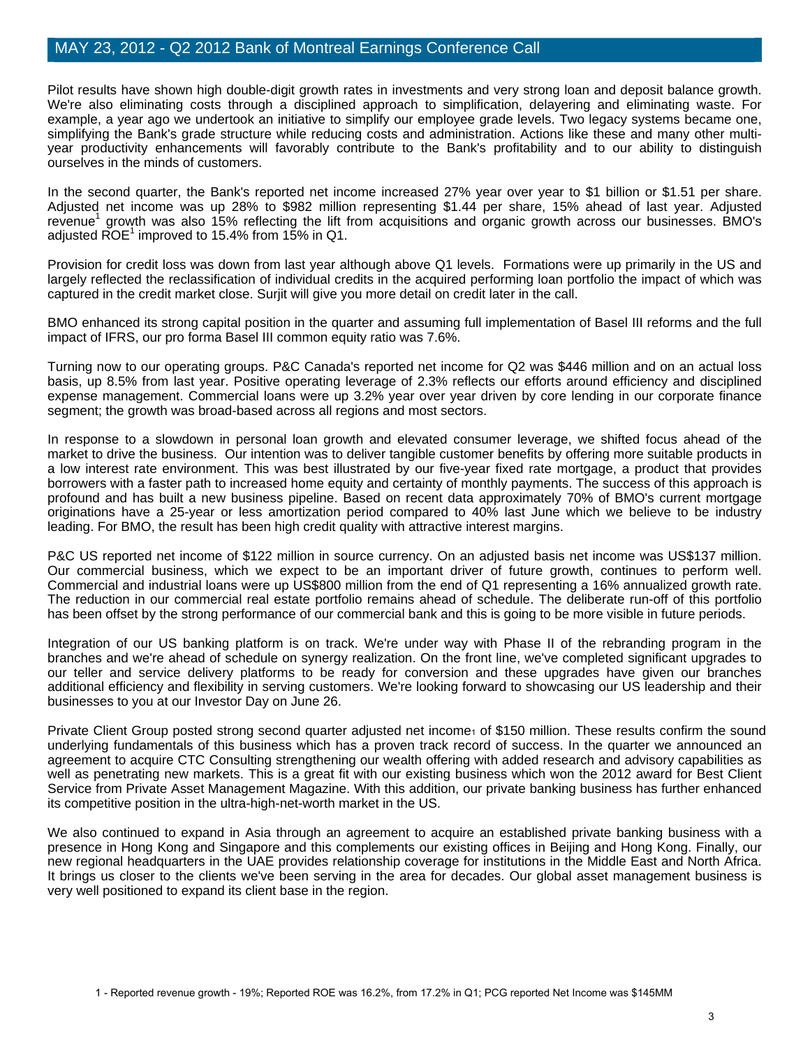Pilot results have shown high double-digit growth rates in investments and very strong loan and deposit balance growth. We're also eliminating costs through a disciplined approach to simplification, delayering and eliminating waste. For example, a year ago we undertook an initiative to simplify our employee grade levels. Two legacy systems became one, simplifying the Bank's grade structure while reducing costs and administration. Actions like these and many other multiyear productivity enhancements will favorably contribute to the Bank's profitability and to our ability to distinguish ourselves in the minds of customers.

In the second quarter, the Bank's reported net income increased 27% year over year to \$1 billion or \$1.51 per share. Adjusted net income was up 28% to \$982 million representing \$1.44 per share, 15% ahead of last year. Adjusted revenue<sup>1</sup> growth was also 15% reflecting the lift from acquisitions and organic growth across our businesses. BMO's adjusted  $\mathsf{ROE}^1$  improved to 15.4% from 15% in Q1.

Provision for credit loss was down from last year although above Q1 levels. Formations were up primarily in the US and largely reflected the reclassification of individual credits in the acquired performing loan portfolio the impact of which was captured in the credit market close. Surjit will give you more detail on credit later in the call.

BMO enhanced its strong capital position in the quarter and assuming full implementation of Basel III reforms and the full impact of IFRS, our pro forma Basel III common equity ratio was 7.6%.

Turning now to our operating groups. P&C Canada's reported net income for Q2 was \$446 million and on an actual loss basis, up 8.5% from last year. Positive operating leverage of 2.3% reflects our efforts around efficiency and disciplined expense management. Commercial loans were up 3.2% year over year driven by core lending in our corporate finance segment; the growth was broad-based across all regions and most sectors.

In response to a slowdown in personal loan growth and elevated consumer leverage, we shifted focus ahead of the market to drive the business. Our intention was to deliver tangible customer benefits by offering more suitable products in a low interest rate environment. This was best illustrated by our five-year fixed rate mortgage, a product that provides borrowers with a faster path to increased home equity and certainty of monthly payments. The success of this approach is profound and has built a new business pipeline. Based on recent data approximately 70% of BMO's current mortgage originations have a 25-year or less amortization period compared to 40% last June which we believe to be industry leading. For BMO, the result has been high credit quality with attractive interest margins.

P&C US reported net income of \$122 million in source currency. On an adjusted basis net income was US\$137 million. Our commercial business, which we expect to be an important driver of future growth, continues to perform well. Commercial and industrial loans were up US\$800 million from the end of Q1 representing a 16% annualized growth rate. The reduction in our commercial real estate portfolio remains ahead of schedule. The deliberate run-off of this portfolio has been offset by the strong performance of our commercial bank and this is going to be more visible in future periods.

Integration of our US banking platform is on track. We're under way with Phase II of the rebranding program in the branches and we're ahead of schedule on synergy realization. On the front line, we've completed significant upgrades to our teller and service delivery platforms to be ready for conversion and these upgrades have given our branches additional efficiency and flexibility in serving customers. We're looking forward to showcasing our US leadership and their businesses to you at our Investor Day on June 26.

Private Client Group posted strong second quarter adjusted net income<sub>1</sub> of \$150 million. These results confirm the sound underlying fundamentals of this business which has a proven track record of success. In the quarter we announced an agreement to acquire CTC Consulting strengthening our wealth offering with added research and advisory capabilities as well as penetrating new markets. This is a great fit with our existing business which won the 2012 award for Best Client Service from Private Asset Management Magazine. With this addition, our private banking business has further enhanced its competitive position in the ultra-high-net-worth market in the US.

We also continued to expand in Asia through an agreement to acquire an established private banking business with a presence in Hong Kong and Singapore and this complements our existing offices in Beijing and Hong Kong. Finally, our new regional headquarters in the UAE provides relationship coverage for institutions in the Middle East and North Africa. It brings us closer to the clients we've been serving in the area for decades. Our global asset management business is very well positioned to expand its client base in the region.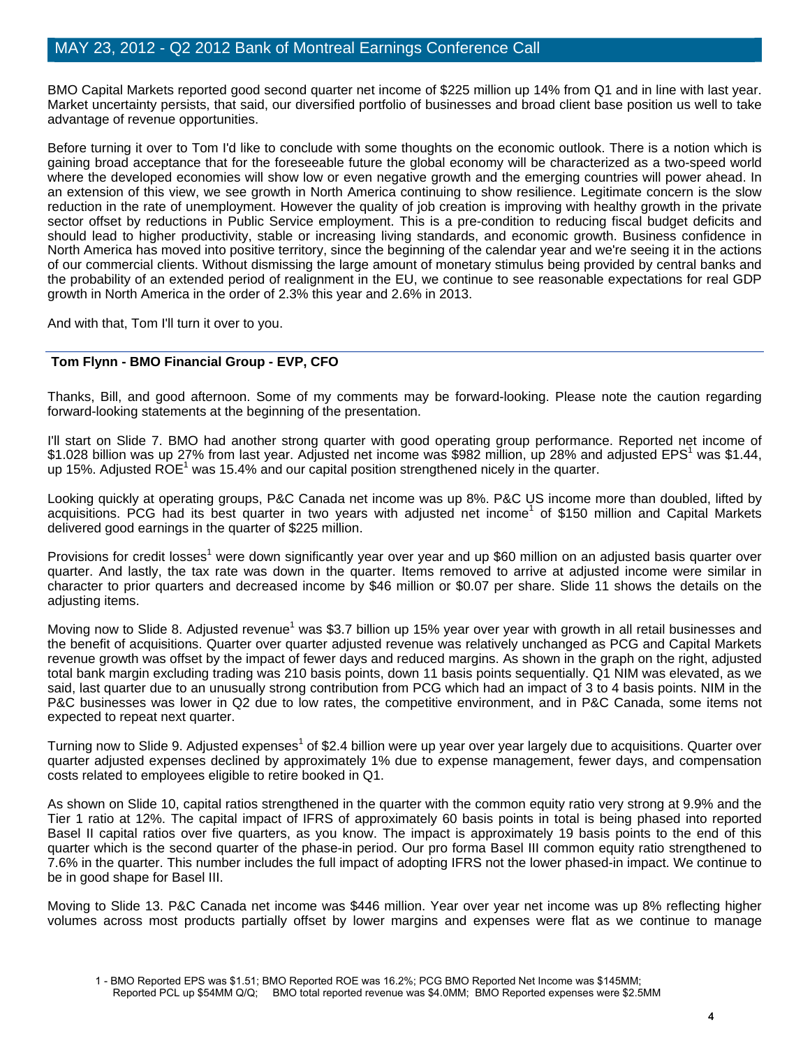BMO Capital Markets reported good second quarter net income of \$225 million up 14% from Q1 and in line with last year. Market uncertainty persists, that said, our diversified portfolio of businesses and broad client base position us well to take advantage of revenue opportunities.

Before turning it over to Tom I'd like to conclude with some thoughts on the economic outlook. There is a notion which is gaining broad acceptance that for the foreseeable future the global economy will be characterized as a two-speed world where the developed economies will show low or even negative growth and the emerging countries will power ahead. In an extension of this view, we see growth in North America continuing to show resilience. Legitimate concern is the slow reduction in the rate of unemployment. However the quality of job creation is improving with healthy growth in the private sector offset by reductions in Public Service employment. This is a pre-condition to reducing fiscal budget deficits and should lead to higher productivity, stable or increasing living standards, and economic growth. Business confidence in North America has moved into positive territory, since the beginning of the calendar year and we're seeing it in the actions of our commercial clients. Without dismissing the large amount of monetary stimulus being provided by central banks and the probability of an extended period of realignment in the EU, we continue to see reasonable expectations for real GDP growth in North America in the order of 2.3% this year and 2.6% in 2013.

And with that, Tom I'll turn it over to you.

## **Tom Flynn - BMO Financial Group - EVP, CFO**

Thanks, Bill, and good afternoon. Some of my comments may be forward-looking. Please note the caution regarding forward-looking statements at the beginning of the presentation.

I'll start on Slide 7. BMO had another strong quarter with good operating group performance. Reported net income of \$1.028 billion was up 27% from last year. Adjusted net income was \$982 million, up 28% and adjusted EPS<sup>1</sup> was \$1.44, up 15%. Adjusted ROE<sup>1</sup> was 15.4% and our capital position strengthened nicely in the quarter.

Looking quickly at operating groups, P&C Canada net income was up 8%. P&C US income more than doubled, lifted by acquisitions. PCG had its best quarter in two years with adjusted net income<sup>1</sup> of \$150 million and Capital Markets delivered good earnings in the quarter of \$225 million.

Provisions for credit losses<sup>1</sup> were down significantly year over year and up \$60 million on an adjusted basis quarter over quarter. And lastly, the tax rate was down in the quarter. Items removed to arrive at adjusted income were similar in character to prior quarters and decreased income by \$46 million or \$0.07 per share. Slide 11 shows the details on the adiusting items.

Moving now to Slide 8. Adjusted revenue<sup>1</sup> was \$3.7 billion up 15% year over year with growth in all retail businesses and the benefit of acquisitions. Quarter over quarter adjusted revenue was relatively unchanged as PCG and Capital Markets revenue growth was offset by the impact of fewer days and reduced margins. As shown in the graph on the right, adjusted total bank margin excluding trading was 210 basis points, down 11 basis points sequentially. Q1 NIM was elevated, as we said, last quarter due to an unusually strong contribution from PCG which had an impact of 3 to 4 basis points. NIM in the P&C businesses was lower in Q2 due to low rates, the competitive environment, and in P&C Canada, some items not expected to repeat next quarter.

Turning now to Slide 9. Adjusted expenses<sup>1</sup> of \$2.4 billion were up year over year largely due to acquisitions. Quarter over quarter adjusted expenses declined by approximately 1% due to expense management, fewer days, and compensation costs related to employees eligible to retire booked in Q1.

As shown on Slide 10, capital ratios strengthened in the quarter with the common equity ratio very strong at 9.9% and the Tier 1 ratio at 12%. The capital impact of IFRS of approximately 60 basis points in total is being phased into reported Basel II capital ratios over five quarters, as you know. The impact is approximately 19 basis points to the end of this quarter which is the second quarter of the phase-in period. Our pro forma Basel III common equity ratio strengthened to 7.6% in the quarter. This number includes the full impact of adopting IFRS not the lower phased-in impact. We continue to be in good shape for Basel III.

Moving to Slide 13. P&C Canada net income was \$446 million. Year over year net income was up 8% reflecting higher volumes across most products partially offset by lower margins and expenses were flat as we continue to manage

<sup>1 -</sup> BMO Reported EPS was \$1.51; BMO Reported ROE was 16.2%; PCG BMO Reported Net Income was \$145MM; Reported PCL up \$54MM Q/Q; BMO total reported revenue was \$4.0MM; BMO Reported expenses were \$2.5MM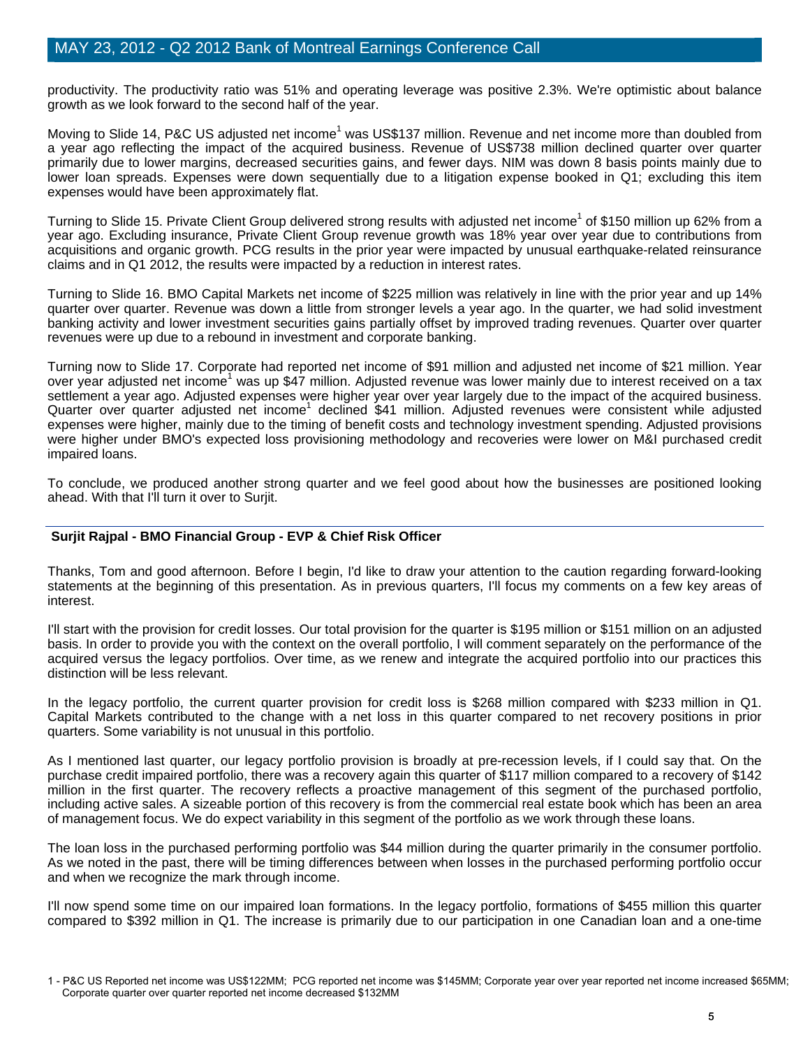productivity. The productivity ratio was 51% and operating leverage was positive 2.3%. We're optimistic about balance growth as we look forward to the second half of the year.

Moving to Slide 14, P&C US adjusted net income<sup>1</sup> was US\$137 million. Revenue and net income more than doubled from a year ago reflecting the impact of the acquired business. Revenue of US\$738 million declined quarter over quarter primarily due to lower margins, decreased securities gains, and fewer days. NIM was down 8 basis points mainly due to lower loan spreads. Expenses were down sequentially due to a litigation expense booked in Q1; excluding this item expenses would have been approximately flat.

Turning to Slide 15. Private Client Group delivered strong results with adjusted net income<sup>1</sup> of \$150 million up 62% from a year ago. Excluding insurance, Private Client Group revenue growth was 18% year over year due to contributions from acquisitions and organic growth. PCG results in the prior year were impacted by unusual earthquake-related reinsurance claims and in Q1 2012, the results were impacted by a reduction in interest rates.

Turning to Slide 16. BMO Capital Markets net income of \$225 million was relatively in line with the prior year and up 14% quarter over quarter. Revenue was down a little from stronger levels a year ago. In the quarter, we had solid investment banking activity and lower investment securities gains partially offset by improved trading revenues. Quarter over quarter revenues were up due to a rebound in investment and corporate banking.

Turning now to Slide 17. Corporate had reported net income of \$91 million and adjusted net income of \$21 million. Year over year adjusted net income<sup>1</sup> was up \$47 million. Adjusted revenue was lower mainly due to interest received on a tax settlement a year ago. Adjusted expenses were higher year over year largely due to the impact of the acquired business. Quarter over quarter adjusted net income<sup>1</sup> declined \$41 million. Adjusted revenues were consistent while adjusted expenses were higher, mainly due to the timing of benefit costs and technology investment spending. Adjusted provisions were higher under BMO's expected loss provisioning methodology and recoveries were lower on M&I purchased credit impaired loans.

To conclude, we produced another strong quarter and we feel good about how the businesses are positioned looking ahead. With that I'll turn it over to Surjit.

## **Surjit Rajpal - BMO Financial Group - EVP & Chief Risk Officer**

Thanks, Tom and good afternoon. Before I begin, I'd like to draw your attention to the caution regarding forward-looking statements at the beginning of this presentation. As in previous quarters, I'll focus my comments on a few key areas of interest.

I'll start with the provision for credit losses. Our total provision for the quarter is \$195 million or \$151 million on an adjusted basis. In order to provide you with the context on the overall portfolio, I will comment separately on the performance of the acquired versus the legacy portfolios. Over time, as we renew and integrate the acquired portfolio into our practices this distinction will be less relevant.

In the legacy portfolio, the current quarter provision for credit loss is \$268 million compared with \$233 million in Q1. Capital Markets contributed to the change with a net loss in this quarter compared to net recovery positions in prior quarters. Some variability is not unusual in this portfolio.

As I mentioned last quarter, our legacy portfolio provision is broadly at pre-recession levels, if I could say that. On the purchase credit impaired portfolio, there was a recovery again this quarter of \$117 million compared to a recovery of \$142 million in the first quarter. The recovery reflects a proactive management of this segment of the purchased portfolio, including active sales. A sizeable portion of this recovery is from the commercial real estate book which has been an area of management focus. We do expect variability in this segment of the portfolio as we work through these loans.

The loan loss in the purchased performing portfolio was \$44 million during the quarter primarily in the consumer portfolio. As we noted in the past, there will be timing differences between when losses in the purchased performing portfolio occur and when we recognize the mark through income.

I'll now spend some time on our impaired loan formations. In the legacy portfolio, formations of \$455 million this quarter compared to \$392 million in Q1. The increase is primarily due to our participation in one Canadian loan and a one-time

<sup>1 -</sup> P&C US Reported net income was US\$122MM; PCG reported net income was \$145MM; Corporate year over year reported net income increased \$65MM; Corporate quarter over quarter reported net income decreased \$132MM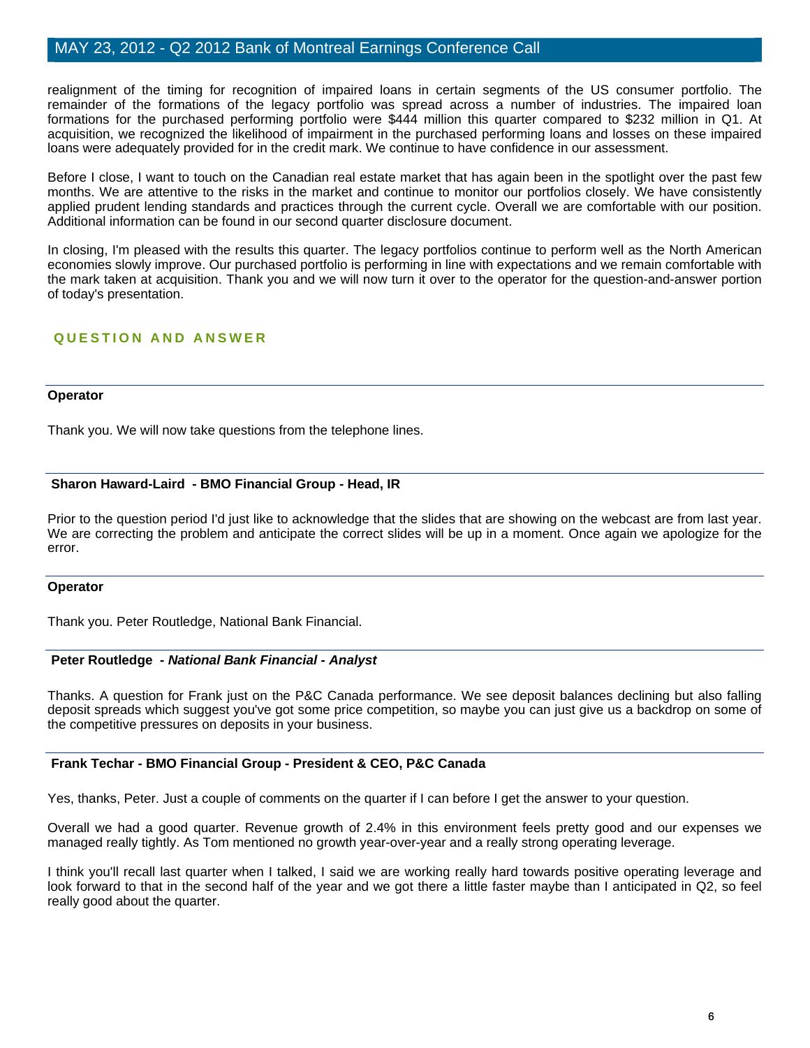realignment of the timing for recognition of impaired loans in certain segments of the US consumer portfolio. The remainder of the formations of the legacy portfolio was spread across a number of industries. The impaired loan formations for the purchased performing portfolio were \$444 million this quarter compared to \$232 million in Q1. At acquisition, we recognized the likelihood of impairment in the purchased performing loans and losses on these impaired loans were adequately provided for in the credit mark. We continue to have confidence in our assessment.

Before I close, I want to touch on the Canadian real estate market that has again been in the spotlight over the past few months. We are attentive to the risks in the market and continue to monitor our portfolios closely. We have consistently applied prudent lending standards and practices through the current cycle. Overall we are comfortable with our position. Additional information can be found in our second quarter disclosure document.

In closing, I'm pleased with the results this quarter. The legacy portfolios continue to perform well as the North American economies slowly improve. Our purchased portfolio is performing in line with expectations and we remain comfortable with the mark taken at acquisition. Thank you and we will now turn it over to the operator for the question-and-answer portion of today's presentation.

# **QUESTION AND ANSWER**

#### **Operator**

Thank you. We will now take questions from the telephone lines.

## **Sharon Haward-Laird - BMO Financial Group - Head, IR**

Prior to the question period I'd just like to acknowledge that the slides that are showing on the webcast are from last year. We are correcting the problem and anticipate the correct slides will be up in a moment. Once again we apologize for the error.

#### **Operator**

Thank you. Peter Routledge, National Bank Financial.

## **Peter Routledge** *- National Bank Financial - Analyst*

Thanks. A question for Frank just on the P&C Canada performance. We see deposit balances declining but also falling deposit spreads which suggest you've got some price competition, so maybe you can just give us a backdrop on some of the competitive pressures on deposits in your business.

## **Frank Techar - BMO Financial Group - President & CEO, P&C Canada**

Yes, thanks, Peter. Just a couple of comments on the quarter if I can before I get the answer to your question.

Overall we had a good quarter. Revenue growth of 2.4% in this environment feels pretty good and our expenses we managed really tightly. As Tom mentioned no growth year-over-year and a really strong operating leverage.

I think you'll recall last quarter when I talked, I said we are working really hard towards positive operating leverage and look forward to that in the second half of the year and we got there a little faster maybe than I anticipated in Q2, so feel really good about the quarter.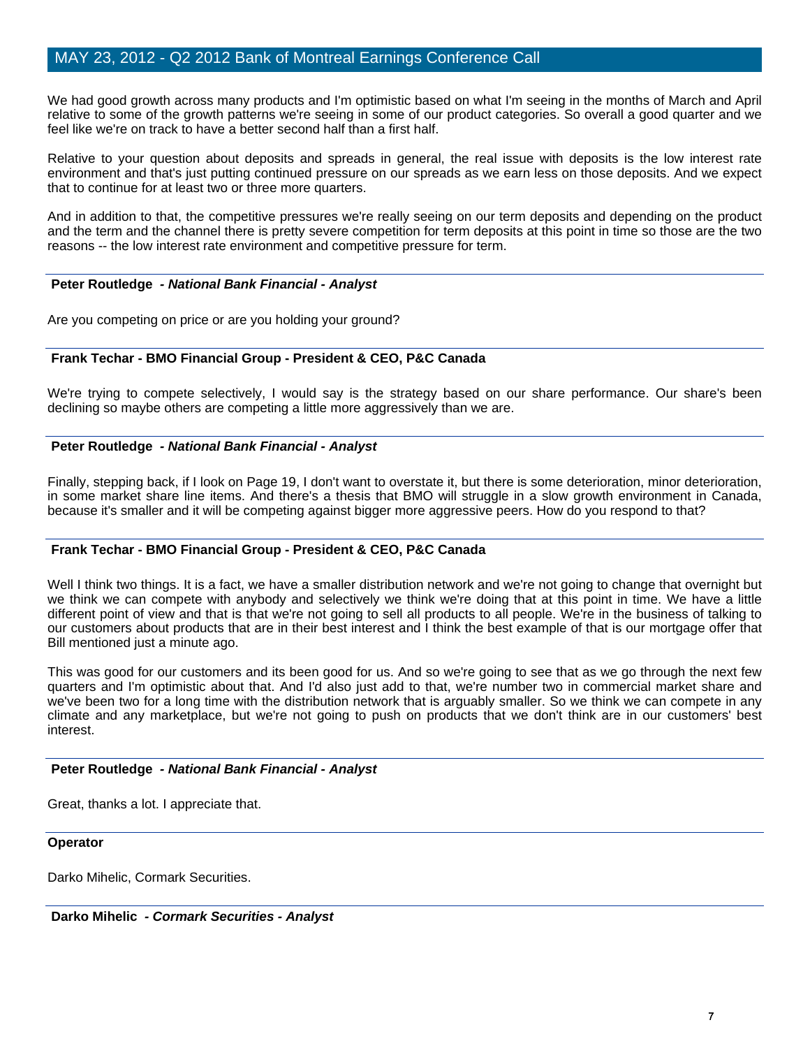We had good growth across many products and I'm optimistic based on what I'm seeing in the months of March and April relative to some of the growth patterns we're seeing in some of our product categories. So overall a good quarter and we feel like we're on track to have a better second half than a first half.

Relative to your question about deposits and spreads in general, the real issue with deposits is the low interest rate environment and that's just putting continued pressure on our spreads as we earn less on those deposits. And we expect that to continue for at least two or three more quarters.

And in addition to that, the competitive pressures we're really seeing on our term deposits and depending on the product and the term and the channel there is pretty severe competition for term deposits at this point in time so those are the two reasons -- the low interest rate environment and competitive pressure for term.

## **Peter Routledge** *- National Bank Financial - Analyst*

Are you competing on price or are you holding your ground?

## **Frank Techar - BMO Financial Group - President & CEO, P&C Canada**

We're trying to compete selectively, I would say is the strategy based on our share performance. Our share's been declining so maybe others are competing a little more aggressively than we are.

## **Peter Routledge** *- National Bank Financial - Analyst*

Finally, stepping back, if I look on Page 19, I don't want to overstate it, but there is some deterioration, minor deterioration, in some market share line items. And there's a thesis that BMO will struggle in a slow growth environment in Canada, because it's smaller and it will be competing against bigger more aggressive peers. How do you respond to that?

## **Frank Techar - BMO Financial Group - President & CEO, P&C Canada**

Well I think two things. It is a fact, we have a smaller distribution network and we're not going to change that overnight but we think we can compete with anybody and selectively we think we're doing that at this point in time. We have a little different point of view and that is that we're not going to sell all products to all people. We're in the business of talking to our customers about products that are in their best interest and I think the best example of that is our mortgage offer that Bill mentioned just a minute ago.

This was good for our customers and its been good for us. And so we're going to see that as we go through the next few quarters and I'm optimistic about that. And I'd also just add to that, we're number two in commercial market share and we've been two for a long time with the distribution network that is arguably smaller. So we think we can compete in any climate and any marketplace, but we're not going to push on products that we don't think are in our customers' best interest.

## **Peter Routledge** *- National Bank Financial - Analyst*

Great, thanks a lot. I appreciate that.

#### **Operator**

Darko Mihelic, Cormark Securities.

 **Darko Mihelic** *- Cormark Securities - Analyst*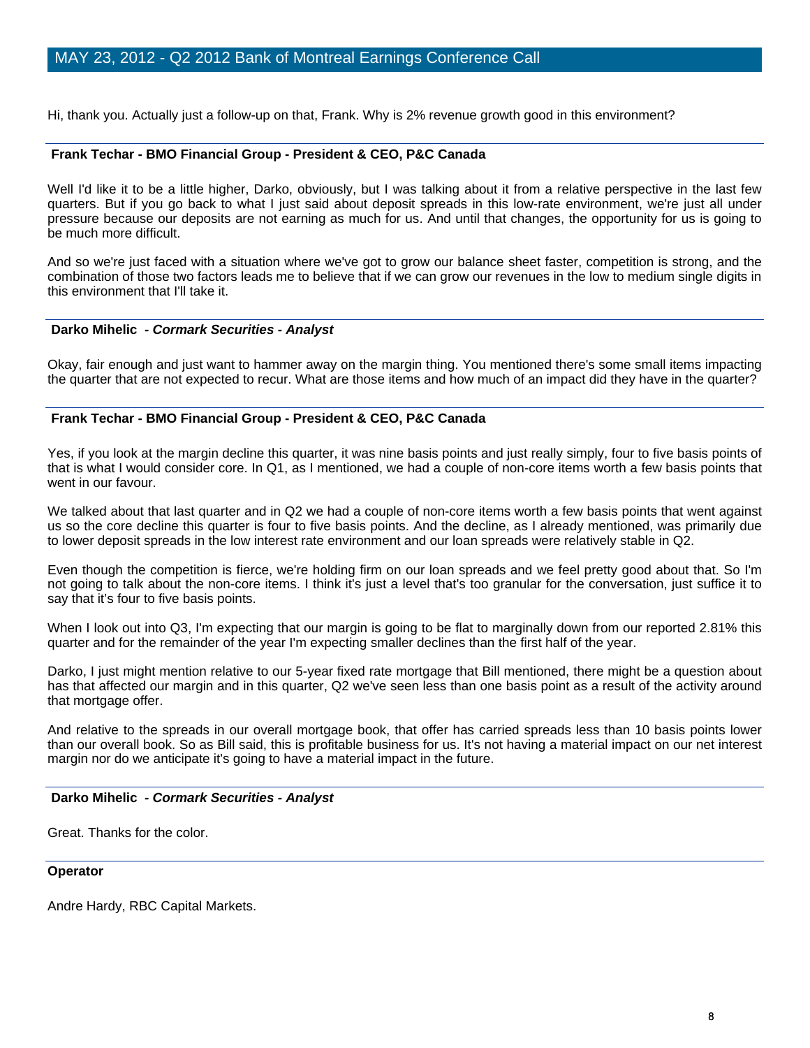Hi, thank you. Actually just a follow-up on that, Frank. Why is 2% revenue growth good in this environment?

#### **Frank Techar - BMO Financial Group - President & CEO, P&C Canada**

Well I'd like it to be a little higher, Darko, obviously, but I was talking about it from a relative perspective in the last few quarters. But if you go back to what I just said about deposit spreads in this low-rate environment, we're just all under pressure because our deposits are not earning as much for us. And until that changes, the opportunity for us is going to be much more difficult.

And so we're just faced with a situation where we've got to grow our balance sheet faster, competition is strong, and the combination of those two factors leads me to believe that if we can grow our revenues in the low to medium single digits in this environment that I'll take it.

## **Darko Mihelic** *- Cormark Securities - Analyst*

Okay, fair enough and just want to hammer away on the margin thing. You mentioned there's some small items impacting the quarter that are not expected to recur. What are those items and how much of an impact did they have in the quarter?

#### **Frank Techar - BMO Financial Group - President & CEO, P&C Canada**

Yes, if you look at the margin decline this quarter, it was nine basis points and just really simply, four to five basis points of that is what I would consider core. In Q1, as I mentioned, we had a couple of non-core items worth a few basis points that went in our favour.

We talked about that last quarter and in Q2 we had a couple of non-core items worth a few basis points that went against us so the core decline this quarter is four to five basis points. And the decline, as I already mentioned, was primarily due to lower deposit spreads in the low interest rate environment and our loan spreads were relatively stable in Q2.

Even though the competition is fierce, we're holding firm on our loan spreads and we feel pretty good about that. So I'm not going to talk about the non-core items. I think it's just a level that's too granular for the conversation, just suffice it to say that it's four to five basis points.

When I look out into Q3, I'm expecting that our margin is going to be flat to marginally down from our reported 2.81% this quarter and for the remainder of the year I'm expecting smaller declines than the first half of the year.

Darko, I just might mention relative to our 5-year fixed rate mortgage that Bill mentioned, there might be a question about has that affected our margin and in this quarter, Q2 we've seen less than one basis point as a result of the activity around that mortgage offer.

And relative to the spreads in our overall mortgage book, that offer has carried spreads less than 10 basis points lower than our overall book. So as Bill said, this is profitable business for us. It's not having a material impact on our net interest margin nor do we anticipate it's going to have a material impact in the future.

#### **Darko Mihelic** *- Cormark Securities - Analyst*

Great. Thanks for the color.

#### **Operator**

Andre Hardy, RBC Capital Markets.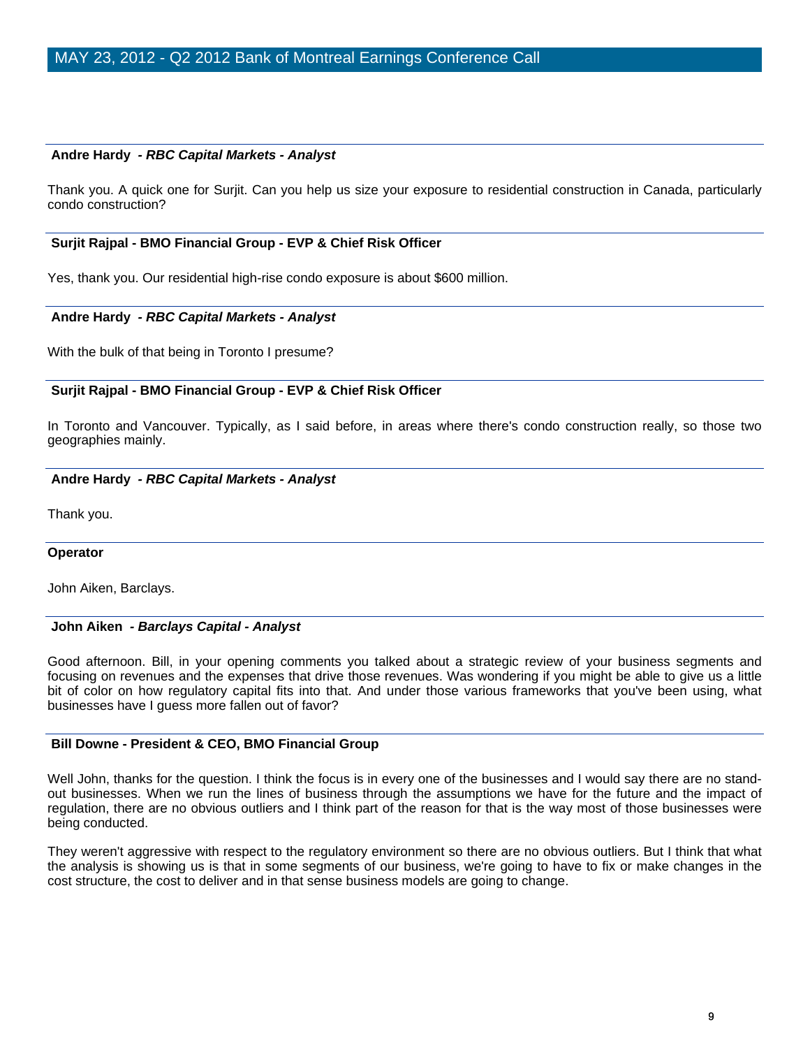## **Andre Hardy** *- RBC Capital Markets - Analyst*

Thank you. A quick one for Surjit. Can you help us size your exposure to residential construction in Canada, particularly condo construction?

#### **Surjit Rajpal - BMO Financial Group - EVP & Chief Risk Officer**

Yes, thank you. Our residential high-rise condo exposure is about \$600 million.

#### **Andre Hardy** *- RBC Capital Markets - Analyst*

With the bulk of that being in Toronto I presume?

#### **Surjit Rajpal - BMO Financial Group - EVP & Chief Risk Officer**

In Toronto and Vancouver. Typically, as I said before, in areas where there's condo construction really, so those two geographies mainly.

#### **Andre Hardy** *- RBC Capital Markets - Analyst*

Thank you.

#### **Operator**

John Aiken, Barclays.

#### **John Aiken** *- Barclays Capital - Analyst*

Good afternoon. Bill, in your opening comments you talked about a strategic review of your business segments and focusing on revenues and the expenses that drive those revenues. Was wondering if you might be able to give us a little bit of color on how regulatory capital fits into that. And under those various frameworks that you've been using, what businesses have I guess more fallen out of favor?

#### **Bill Downe - President & CEO, BMO Financial Group**

Well John, thanks for the question. I think the focus is in every one of the businesses and I would say there are no standout businesses. When we run the lines of business through the assumptions we have for the future and the impact of regulation, there are no obvious outliers and I think part of the reason for that is the way most of those businesses were being conducted.

They weren't aggressive with respect to the regulatory environment so there are no obvious outliers. But I think that what the analysis is showing us is that in some segments of our business, we're going to have to fix or make changes in the cost structure, the cost to deliver and in that sense business models are going to change.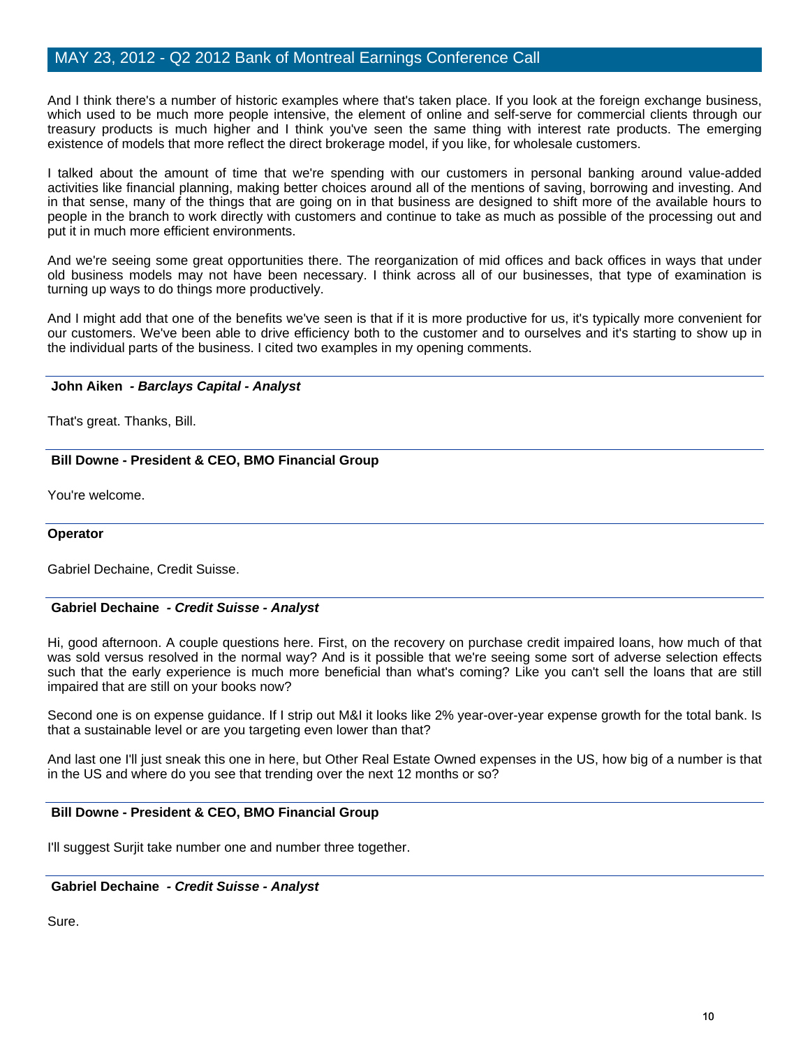And I think there's a number of historic examples where that's taken place. If you look at the foreign exchange business, which used to be much more people intensive, the element of online and self-serve for commercial clients through our treasury products is much higher and I think you've seen the same thing with interest rate products. The emerging existence of models that more reflect the direct brokerage model, if you like, for wholesale customers.

I talked about the amount of time that we're spending with our customers in personal banking around value-added activities like financial planning, making better choices around all of the mentions of saving, borrowing and investing. And in that sense, many of the things that are going on in that business are designed to shift more of the available hours to people in the branch to work directly with customers and continue to take as much as possible of the processing out and put it in much more efficient environments.

And we're seeing some great opportunities there. The reorganization of mid offices and back offices in ways that under old business models may not have been necessary. I think across all of our businesses, that type of examination is turning up ways to do things more productively.

And I might add that one of the benefits we've seen is that if it is more productive for us, it's typically more convenient for our customers. We've been able to drive efficiency both to the customer and to ourselves and it's starting to show up in the individual parts of the business. I cited two examples in my opening comments.

## **John Aiken** *- Barclays Capital - Analyst*

That's great. Thanks, Bill.

## **Bill Downe - President & CEO, BMO Financial Group**

You're welcome.

## **Operator**

Gabriel Dechaine, Credit Suisse.

## **Gabriel Dechaine** *- Credit Suisse - Analyst*

Hi, good afternoon. A couple questions here. First, on the recovery on purchase credit impaired loans, how much of that was sold versus resolved in the normal way? And is it possible that we're seeing some sort of adverse selection effects such that the early experience is much more beneficial than what's coming? Like you can't sell the loans that are still impaired that are still on your books now?

Second one is on expense guidance. If I strip out M&I it looks like 2% year-over-year expense growth for the total bank. Is that a sustainable level or are you targeting even lower than that?

And last one I'll just sneak this one in here, but Other Real Estate Owned expenses in the US, how big of a number is that in the US and where do you see that trending over the next 12 months or so?

## **Bill Downe - President & CEO, BMO Financial Group**

I'll suggest Surjit take number one and number three together.

## **Gabriel Dechaine** *- Credit Suisse - Analyst*

Sure.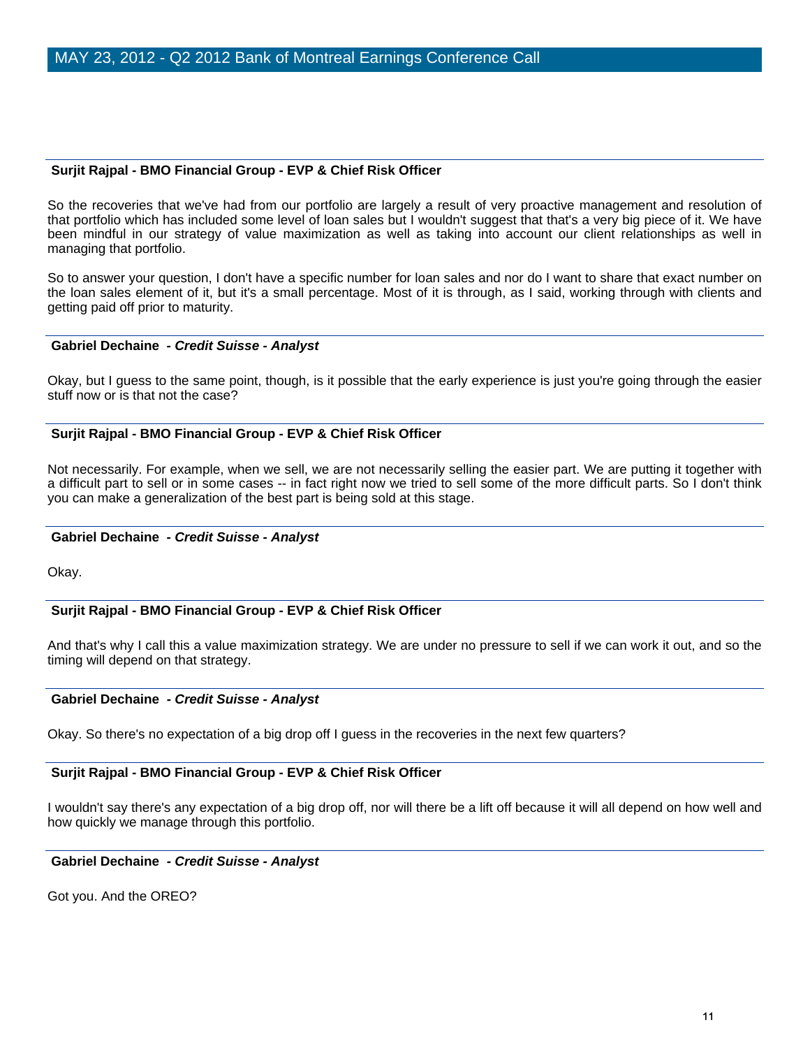## **Surjit Rajpal - BMO Financial Group - EVP & Chief Risk Officer**

So the recoveries that we've had from our portfolio are largely a result of very proactive management and resolution of that portfolio which has included some level of loan sales but I wouldn't suggest that that's a very big piece of it. We have been mindful in our strategy of value maximization as well as taking into account our client relationships as well in managing that portfolio.

So to answer your question, I don't have a specific number for loan sales and nor do I want to share that exact number on the loan sales element of it, but it's a small percentage. Most of it is through, as I said, working through with clients and getting paid off prior to maturity.

#### **Gabriel Dechaine** *- Credit Suisse - Analyst*

Okay, but I guess to the same point, though, is it possible that the early experience is just you're going through the easier stuff now or is that not the case?

#### **Surjit Rajpal - BMO Financial Group - EVP & Chief Risk Officer**

Not necessarily. For example, when we sell, we are not necessarily selling the easier part. We are putting it together with a difficult part to sell or in some cases -- in fact right now we tried to sell some of the more difficult parts. So I don't think you can make a generalization of the best part is being sold at this stage.

#### **Gabriel Dechaine** *- Credit Suisse - Analyst*

Okay.

## **Surjit Rajpal - BMO Financial Group - EVP & Chief Risk Officer**

And that's why I call this a value maximization strategy. We are under no pressure to sell if we can work it out, and so the timing will depend on that strategy.

#### **Gabriel Dechaine** *- Credit Suisse - Analyst*

Okay. So there's no expectation of a big drop off I guess in the recoveries in the next few quarters?

#### **Surjit Rajpal - BMO Financial Group - EVP & Chief Risk Officer**

I wouldn't say there's any expectation of a big drop off, nor will there be a lift off because it will all depend on how well and how quickly we manage through this portfolio.

#### **Gabriel Dechaine** *- Credit Suisse - Analyst*

Got you. And the OREO?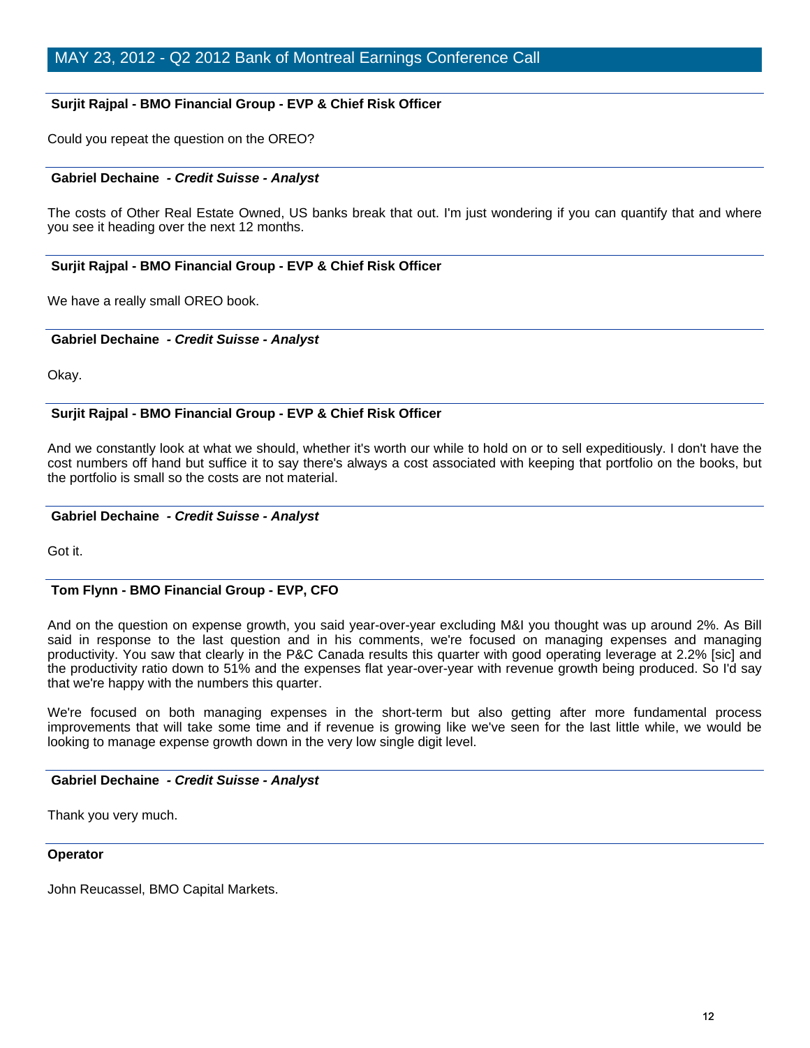## **Surjit Rajpal - BMO Financial Group - EVP & Chief Risk Officer**

Could you repeat the question on the OREO?

## **Gabriel Dechaine** *- Credit Suisse - Analyst*

The costs of Other Real Estate Owned, US banks break that out. I'm just wondering if you can quantify that and where you see it heading over the next 12 months.

## **Surjit Rajpal - BMO Financial Group - EVP & Chief Risk Officer**

We have a really small OREO book.

#### **Gabriel Dechaine** *- Credit Suisse - Analyst*

Okay.

## **Surjit Rajpal - BMO Financial Group - EVP & Chief Risk Officer**

And we constantly look at what we should, whether it's worth our while to hold on or to sell expeditiously. I don't have the cost numbers off hand but suffice it to say there's always a cost associated with keeping that portfolio on the books, but the portfolio is small so the costs are not material.

## **Gabriel Dechaine** *- Credit Suisse - Analyst*

Got it.

## **Tom Flynn - BMO Financial Group - EVP, CFO**

And on the question on expense growth, you said year-over-year excluding M&I you thought was up around 2%. As Bill said in response to the last question and in his comments, we're focused on managing expenses and managing productivity. You saw that clearly in the P&C Canada results this quarter with good operating leverage at 2.2% [sic] and the productivity ratio down to 51% and the expenses flat year-over-year with revenue growth being produced. So I'd say that we're happy with the numbers this quarter.

We're focused on both managing expenses in the short-term but also getting after more fundamental process improvements that will take some time and if revenue is growing like we've seen for the last little while, we would be looking to manage expense growth down in the very low single digit level.

## **Gabriel Dechaine** *- Credit Suisse - Analyst*

Thank you very much.

#### **Operator**

John Reucassel, BMO Capital Markets.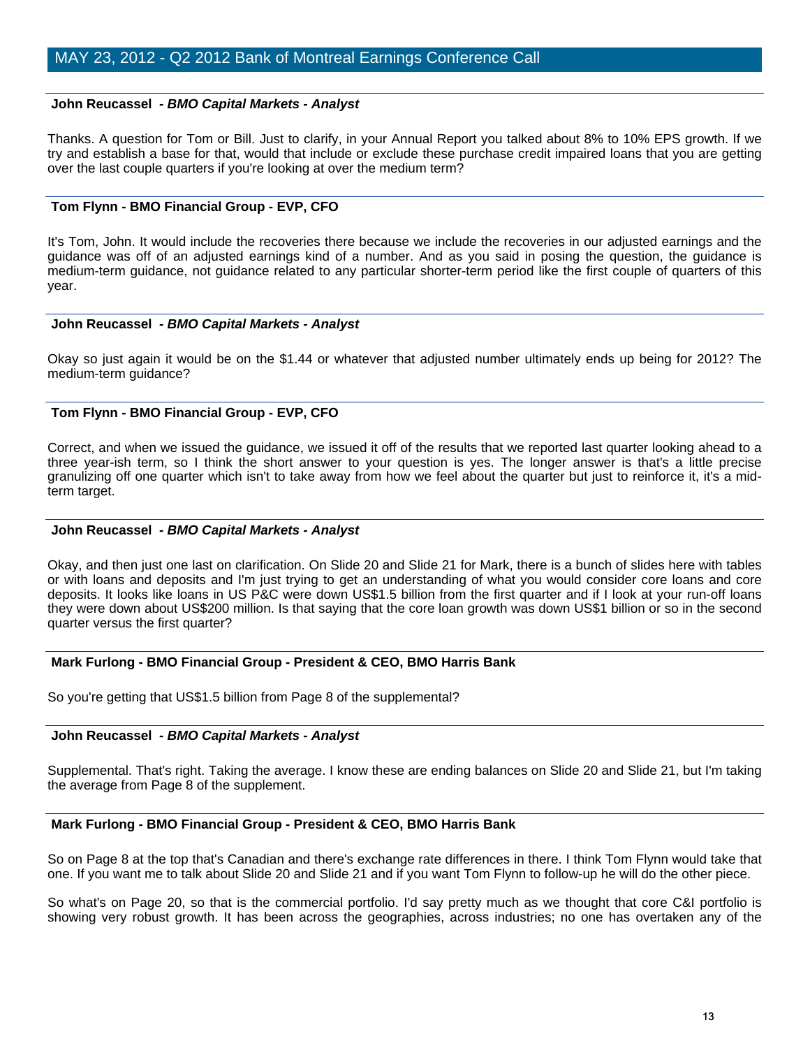#### **John Reucassel** *- BMO Capital Markets - Analyst*

Thanks. A question for Tom or Bill. Just to clarify, in your Annual Report you talked about 8% to 10% EPS growth. If we try and establish a base for that, would that include or exclude these purchase credit impaired loans that you are getting over the last couple quarters if you're looking at over the medium term?

## **Tom Flynn - BMO Financial Group - EVP, CFO**

It's Tom, John. It would include the recoveries there because we include the recoveries in our adjusted earnings and the guidance was off of an adjusted earnings kind of a number. And as you said in posing the question, the guidance is medium-term guidance, not guidance related to any particular shorter-term period like the first couple of quarters of this year.

#### **John Reucassel** *- BMO Capital Markets - Analyst*

Okay so just again it would be on the \$1.44 or whatever that adjusted number ultimately ends up being for 2012? The medium-term guidance?

## **Tom Flynn - BMO Financial Group - EVP, CFO**

Correct, and when we issued the guidance, we issued it off of the results that we reported last quarter looking ahead to a three year-ish term, so I think the short answer to your question is yes. The longer answer is that's a little precise granulizing off one quarter which isn't to take away from how we feel about the quarter but just to reinforce it, it's a midterm target.

#### **John Reucassel** *- BMO Capital Markets - Analyst*

Okay, and then just one last on clarification. On Slide 20 and Slide 21 for Mark, there is a bunch of slides here with tables or with loans and deposits and I'm just trying to get an understanding of what you would consider core loans and core deposits. It looks like loans in US P&C were down US\$1.5 billion from the first quarter and if I look at your run-off loans they were down about US\$200 million. Is that saying that the core loan growth was down US\$1 billion or so in the second quarter versus the first quarter?

## **Mark Furlong - BMO Financial Group - President & CEO, BMO Harris Bank**

So you're getting that US\$1.5 billion from Page 8 of the supplemental?

#### **John Reucassel** *- BMO Capital Markets - Analyst*

Supplemental. That's right. Taking the average. I know these are ending balances on Slide 20 and Slide 21, but I'm taking the average from Page 8 of the supplement.

#### **Mark Furlong - BMO Financial Group - President & CEO, BMO Harris Bank**

So on Page 8 at the top that's Canadian and there's exchange rate differences in there. I think Tom Flynn would take that one. If you want me to talk about Slide 20 and Slide 21 and if you want Tom Flynn to follow-up he will do the other piece.

So what's on Page 20, so that is the commercial portfolio. I'd say pretty much as we thought that core C&I portfolio is showing very robust growth. It has been across the geographies, across industries; no one has overtaken any of the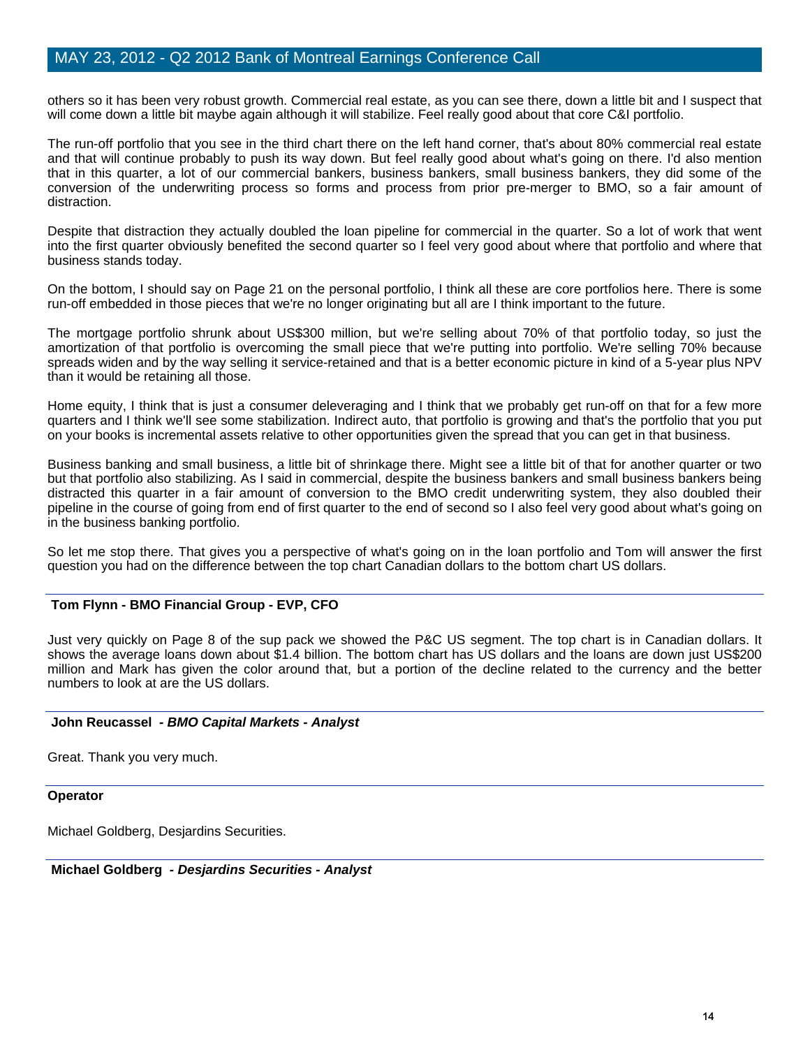others so it has been very robust growth. Commercial real estate, as you can see there, down a little bit and I suspect that will come down a little bit maybe again although it will stabilize. Feel really good about that core C&I portfolio.

The run-off portfolio that you see in the third chart there on the left hand corner, that's about 80% commercial real estate and that will continue probably to push its way down. But feel really good about what's going on there. I'd also mention that in this quarter, a lot of our commercial bankers, business bankers, small business bankers, they did some of the conversion of the underwriting process so forms and process from prior pre-merger to BMO, so a fair amount of distraction.

Despite that distraction they actually doubled the loan pipeline for commercial in the quarter. So a lot of work that went into the first quarter obviously benefited the second quarter so I feel very good about where that portfolio and where that business stands today.

On the bottom, I should say on Page 21 on the personal portfolio, I think all these are core portfolios here. There is some run-off embedded in those pieces that we're no longer originating but all are I think important to the future.

The mortgage portfolio shrunk about US\$300 million, but we're selling about 70% of that portfolio today, so just the amortization of that portfolio is overcoming the small piece that we're putting into portfolio. We're selling 70% because spreads widen and by the way selling it service-retained and that is a better economic picture in kind of a 5-year plus NPV than it would be retaining all those.

Home equity, I think that is just a consumer deleveraging and I think that we probably get run-off on that for a few more quarters and I think we'll see some stabilization. Indirect auto, that portfolio is growing and that's the portfolio that you put on your books is incremental assets relative to other opportunities given the spread that you can get in that business.

Business banking and small business, a little bit of shrinkage there. Might see a little bit of that for another quarter or two but that portfolio also stabilizing. As I said in commercial, despite the business bankers and small business bankers being distracted this quarter in a fair amount of conversion to the BMO credit underwriting system, they also doubled their pipeline in the course of going from end of first quarter to the end of second so I also feel very good about what's going on in the business banking portfolio.

So let me stop there. That gives you a perspective of what's going on in the loan portfolio and Tom will answer the first question you had on the difference between the top chart Canadian dollars to the bottom chart US dollars.

## **Tom Flynn - BMO Financial Group - EVP, CFO**

Just very quickly on Page 8 of the sup pack we showed the P&C US segment. The top chart is in Canadian dollars. It shows the average loans down about \$1.4 billion. The bottom chart has US dollars and the loans are down just US\$200 million and Mark has given the color around that, but a portion of the decline related to the currency and the better numbers to look at are the US dollars.

## **John Reucassel** *- BMO Capital Markets - Analyst*

Great. Thank you very much.

#### **Operator**

Michael Goldberg, Desjardins Securities.

 **Michael Goldberg** *- Desjardins Securities - Analyst*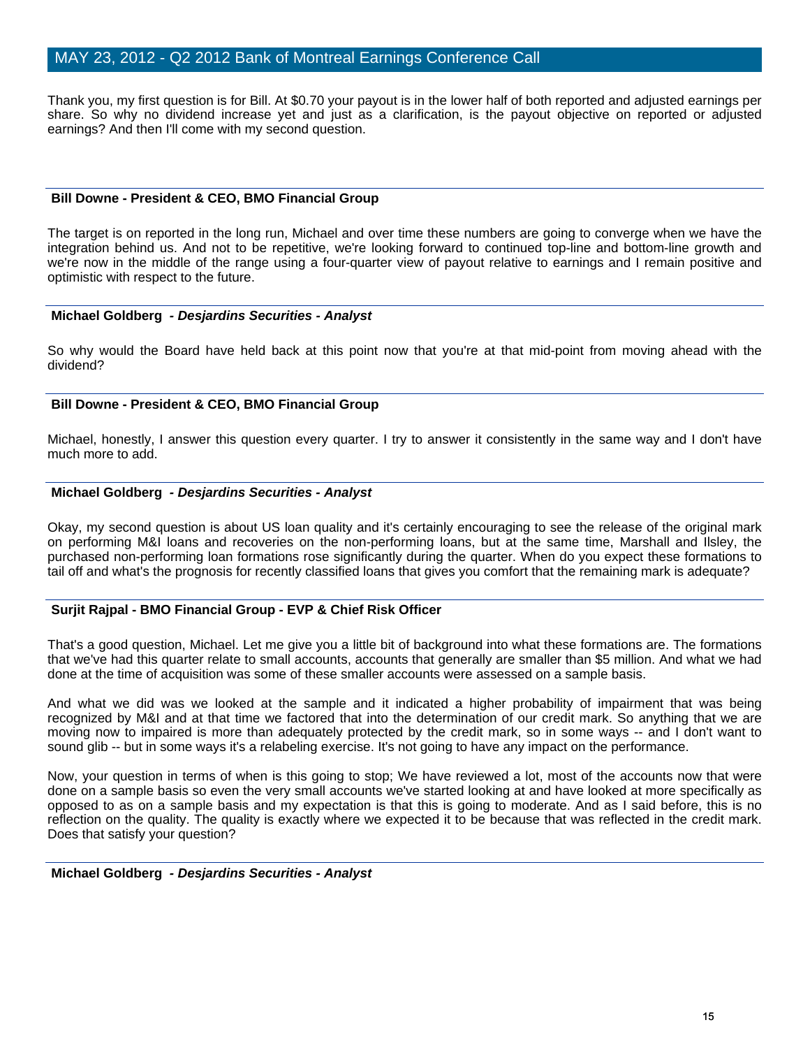Thank you, my first question is for Bill. At \$0.70 your payout is in the lower half of both reported and adjusted earnings per share. So why no dividend increase yet and just as a clarification, is the payout objective on reported or adjusted earnings? And then I'll come with my second question.

#### **Bill Downe - President & CEO, BMO Financial Group**

The target is on reported in the long run, Michael and over time these numbers are going to converge when we have the integration behind us. And not to be repetitive, we're looking forward to continued top-line and bottom-line growth and we're now in the middle of the range using a four-quarter view of payout relative to earnings and I remain positive and optimistic with respect to the future.

#### **Michael Goldberg** *- Desjardins Securities - Analyst*

So why would the Board have held back at this point now that you're at that mid-point from moving ahead with the dividend?

#### **Bill Downe - President & CEO, BMO Financial Group**

Michael, honestly, I answer this question every quarter. I try to answer it consistently in the same way and I don't have much more to add.

#### **Michael Goldberg** *- Desjardins Securities - Analyst*

Okay, my second question is about US loan quality and it's certainly encouraging to see the release of the original mark on performing M&I loans and recoveries on the non-performing loans, but at the same time, Marshall and Ilsley, the purchased non-performing loan formations rose significantly during the quarter. When do you expect these formations to tail off and what's the prognosis for recently classified loans that gives you comfort that the remaining mark is adequate?

## **Surjit Rajpal - BMO Financial Group - EVP & Chief Risk Officer**

That's a good question, Michael. Let me give you a little bit of background into what these formations are. The formations that we've had this quarter relate to small accounts, accounts that generally are smaller than \$5 million. And what we had done at the time of acquisition was some of these smaller accounts were assessed on a sample basis.

And what we did was we looked at the sample and it indicated a higher probability of impairment that was being recognized by M&I and at that time we factored that into the determination of our credit mark. So anything that we are moving now to impaired is more than adequately protected by the credit mark, so in some ways -- and I don't want to sound glib -- but in some ways it's a relabeling exercise. It's not going to have any impact on the performance.

Now, your question in terms of when is this going to stop; We have reviewed a lot, most of the accounts now that were done on a sample basis so even the very small accounts we've started looking at and have looked at more specifically as opposed to as on a sample basis and my expectation is that this is going to moderate. And as I said before, this is no reflection on the quality. The quality is exactly where we expected it to be because that was reflected in the credit mark. Does that satisfy your question?

## **Michael Goldberg** *- Desjardins Securities - Analyst*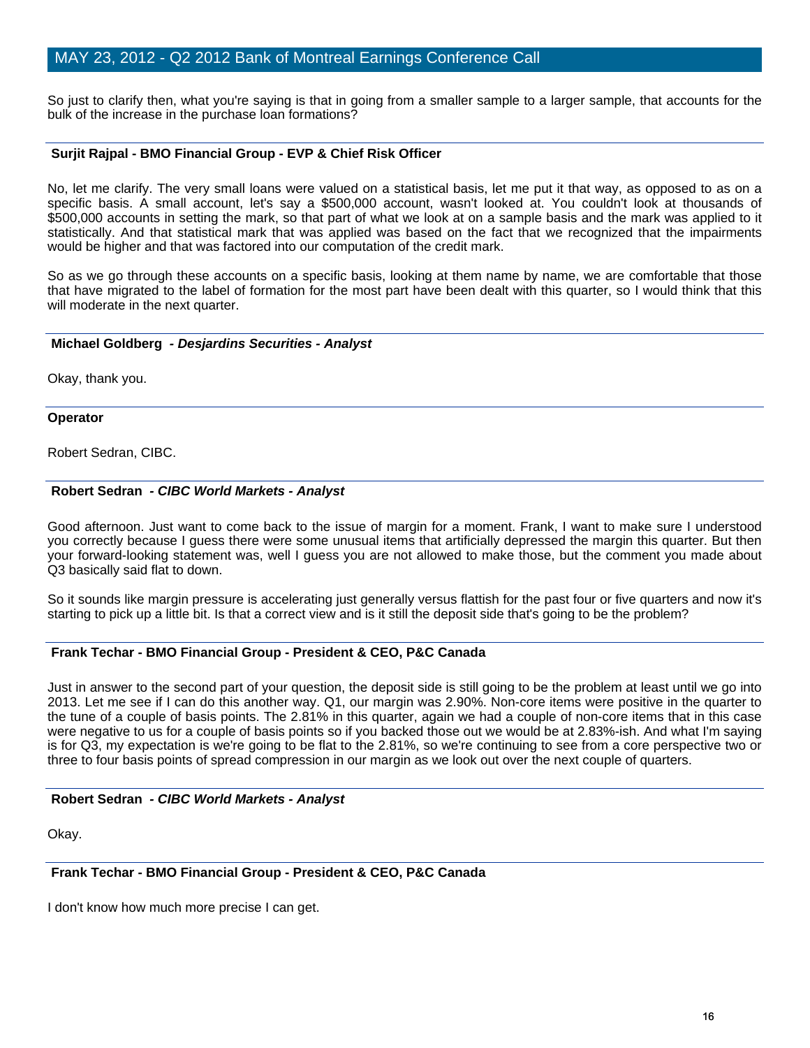So just to clarify then, what you're saying is that in going from a smaller sample to a larger sample, that accounts for the bulk of the increase in the purchase loan formations?

## **Surjit Rajpal - BMO Financial Group - EVP & Chief Risk Officer**

No, let me clarify. The very small loans were valued on a statistical basis, let me put it that way, as opposed to as on a specific basis. A small account, let's say a \$500,000 account, wasn't looked at. You couldn't look at thousands of \$500,000 accounts in setting the mark, so that part of what we look at on a sample basis and the mark was applied to it statistically. And that statistical mark that was applied was based on the fact that we recognized that the impairments would be higher and that was factored into our computation of the credit mark.

So as we go through these accounts on a specific basis, looking at them name by name, we are comfortable that those that have migrated to the label of formation for the most part have been dealt with this quarter, so I would think that this will moderate in the next quarter.

#### **Michael Goldberg** *- Desjardins Securities - Analyst*

Okay, thank you.

#### **Operator**

Robert Sedran, CIBC.

## **Robert Sedran** *- CIBC World Markets - Analyst*

Good afternoon. Just want to come back to the issue of margin for a moment. Frank, I want to make sure I understood you correctly because I guess there were some unusual items that artificially depressed the margin this quarter. But then your forward-looking statement was, well I guess you are not allowed to make those, but the comment you made about Q3 basically said flat to down.

So it sounds like margin pressure is accelerating just generally versus flattish for the past four or five quarters and now it's starting to pick up a little bit. Is that a correct view and is it still the deposit side that's going to be the problem?

## **Frank Techar - BMO Financial Group - President & CEO, P&C Canada**

Just in answer to the second part of your question, the deposit side is still going to be the problem at least until we go into 2013. Let me see if I can do this another way. Q1, our margin was 2.90%. Non-core items were positive in the quarter to the tune of a couple of basis points. The 2.81% in this quarter, again we had a couple of non-core items that in this case were negative to us for a couple of basis points so if you backed those out we would be at 2.83%-ish. And what I'm saying is for Q3, my expectation is we're going to be flat to the 2.81%, so we're continuing to see from a core perspective two or three to four basis points of spread compression in our margin as we look out over the next couple of quarters.

#### **Robert Sedran** *- CIBC World Markets - Analyst*

Okay.

## **Frank Techar - BMO Financial Group - President & CEO, P&C Canada**

I don't know how much more precise I can get.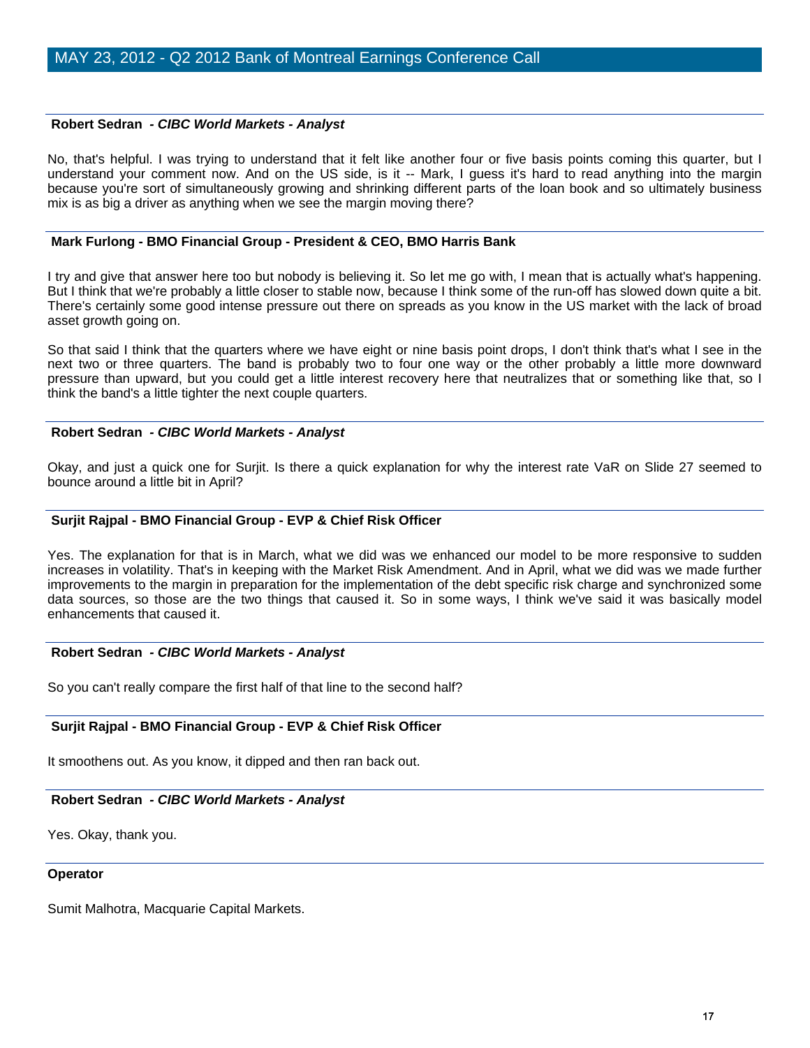#### **Robert Sedran** *- CIBC World Markets - Analyst*

No, that's helpful. I was trying to understand that it felt like another four or five basis points coming this quarter, but I understand your comment now. And on the US side, is it -- Mark, I guess it's hard to read anything into the margin because you're sort of simultaneously growing and shrinking different parts of the loan book and so ultimately business mix is as big a driver as anything when we see the margin moving there?

#### **Mark Furlong - BMO Financial Group - President & CEO, BMO Harris Bank**

I try and give that answer here too but nobody is believing it. So let me go with, I mean that is actually what's happening. But I think that we're probably a little closer to stable now, because I think some of the run-off has slowed down quite a bit. There's certainly some good intense pressure out there on spreads as you know in the US market with the lack of broad asset growth going on.

So that said I think that the quarters where we have eight or nine basis point drops, I don't think that's what I see in the next two or three quarters. The band is probably two to four one way or the other probably a little more downward pressure than upward, but you could get a little interest recovery here that neutralizes that or something like that, so I think the band's a little tighter the next couple quarters.

#### **Robert Sedran** *- CIBC World Markets - Analyst*

Okay, and just a quick one for Surjit. Is there a quick explanation for why the interest rate VaR on Slide 27 seemed to bounce around a little bit in April?

#### **Surjit Rajpal - BMO Financial Group - EVP & Chief Risk Officer**

Yes. The explanation for that is in March, what we did was we enhanced our model to be more responsive to sudden increases in volatility. That's in keeping with the Market Risk Amendment. And in April, what we did was we made further improvements to the margin in preparation for the implementation of the debt specific risk charge and synchronized some data sources, so those are the two things that caused it. So in some ways, I think we've said it was basically model enhancements that caused it.

## **Robert Sedran** *- CIBC World Markets - Analyst*

So you can't really compare the first half of that line to the second half?

## **Surjit Rajpal - BMO Financial Group - EVP & Chief Risk Officer**

It smoothens out. As you know, it dipped and then ran back out.

## **Robert Sedran** *- CIBC World Markets - Analyst*

Yes. Okay, thank you.

#### **Operator**

Sumit Malhotra, Macquarie Capital Markets.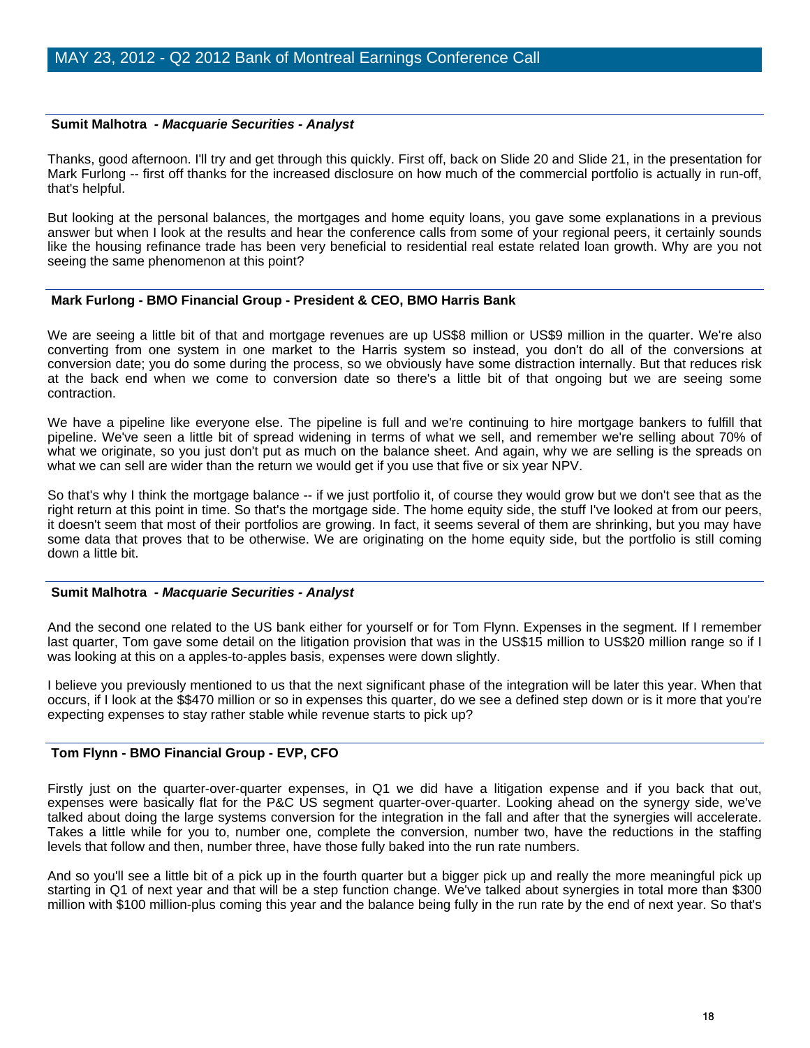#### **Sumit Malhotra** *- Macquarie Securities - Analyst*

Thanks, good afternoon. I'll try and get through this quickly. First off, back on Slide 20 and Slide 21, in the presentation for Mark Furlong -- first off thanks for the increased disclosure on how much of the commercial portfolio is actually in run-off, that's helpful.

But looking at the personal balances, the mortgages and home equity loans, you gave some explanations in a previous answer but when I look at the results and hear the conference calls from some of your regional peers, it certainly sounds like the housing refinance trade has been very beneficial to residential real estate related loan growth. Why are you not seeing the same phenomenon at this point?

#### **Mark Furlong - BMO Financial Group - President & CEO, BMO Harris Bank**

We are seeing a little bit of that and mortgage revenues are up US\$8 million or US\$9 million in the quarter. We're also converting from one system in one market to the Harris system so instead, you don't do all of the conversions at conversion date; you do some during the process, so we obviously have some distraction internally. But that reduces risk at the back end when we come to conversion date so there's a little bit of that ongoing but we are seeing some contraction.

We have a pipeline like everyone else. The pipeline is full and we're continuing to hire mortgage bankers to fulfill that pipeline. We've seen a little bit of spread widening in terms of what we sell, and remember we're selling about 70% of what we originate, so you just don't put as much on the balance sheet. And again, why we are selling is the spreads on what we can sell are wider than the return we would get if you use that five or six year NPV.

So that's why I think the mortgage balance -- if we just portfolio it, of course they would grow but we don't see that as the right return at this point in time. So that's the mortgage side. The home equity side, the stuff I've looked at from our peers, it doesn't seem that most of their portfolios are growing. In fact, it seems several of them are shrinking, but you may have some data that proves that to be otherwise. We are originating on the home equity side, but the portfolio is still coming down a little bit.

## **Sumit Malhotra** *- Macquarie Securities - Analyst*

And the second one related to the US bank either for yourself or for Tom Flynn. Expenses in the segment. If I remember last quarter, Tom gave some detail on the litigation provision that was in the US\$15 million to US\$20 million range so if I was looking at this on a apples-to-apples basis, expenses were down slightly.

I believe you previously mentioned to us that the next significant phase of the integration will be later this year. When that occurs, if I look at the \$\$470 million or so in expenses this quarter, do we see a defined step down or is it more that you're expecting expenses to stay rather stable while revenue starts to pick up?

## **Tom Flynn - BMO Financial Group - EVP, CFO**

Firstly just on the quarter-over-quarter expenses, in Q1 we did have a litigation expense and if you back that out, expenses were basically flat for the P&C US segment quarter-over-quarter. Looking ahead on the synergy side, we've talked about doing the large systems conversion for the integration in the fall and after that the synergies will accelerate. Takes a little while for you to, number one, complete the conversion, number two, have the reductions in the staffing levels that follow and then, number three, have those fully baked into the run rate numbers.

And so you'll see a little bit of a pick up in the fourth quarter but a bigger pick up and really the more meaningful pick up starting in Q1 of next year and that will be a step function change. We've talked about synergies in total more than \$300 million with \$100 million-plus coming this year and the balance being fully in the run rate by the end of next year. So that's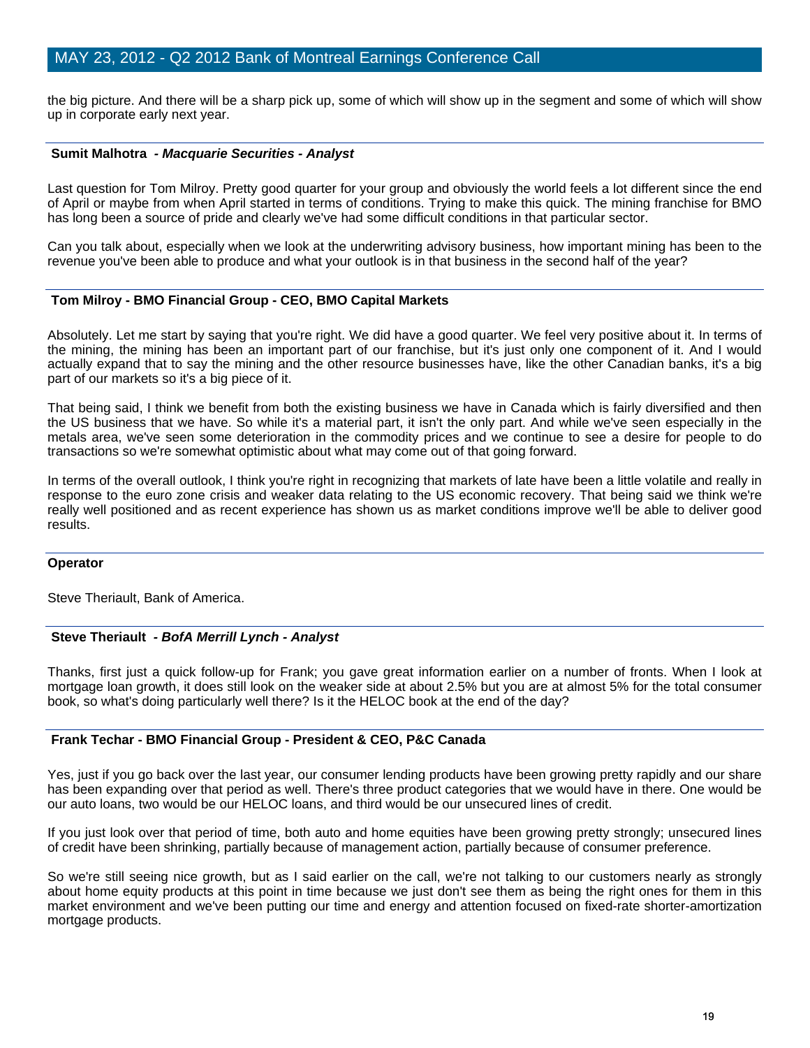the big picture. And there will be a sharp pick up, some of which will show up in the segment and some of which will show up in corporate early next year.

#### **Sumit Malhotra** *- Macquarie Securities - Analyst*

Last question for Tom Milroy. Pretty good quarter for your group and obviously the world feels a lot different since the end of April or maybe from when April started in terms of conditions. Trying to make this quick. The mining franchise for BMO has long been a source of pride and clearly we've had some difficult conditions in that particular sector.

Can you talk about, especially when we look at the underwriting advisory business, how important mining has been to the revenue you've been able to produce and what your outlook is in that business in the second half of the year?

#### **Tom Milroy - BMO Financial Group - CEO, BMO Capital Markets**

Absolutely. Let me start by saying that you're right. We did have a good quarter. We feel very positive about it. In terms of the mining, the mining has been an important part of our franchise, but it's just only one component of it. And I would actually expand that to say the mining and the other resource businesses have, like the other Canadian banks, it's a big part of our markets so it's a big piece of it.

That being said, I think we benefit from both the existing business we have in Canada which is fairly diversified and then the US business that we have. So while it's a material part, it isn't the only part. And while we've seen especially in the metals area, we've seen some deterioration in the commodity prices and we continue to see a desire for people to do transactions so we're somewhat optimistic about what may come out of that going forward.

In terms of the overall outlook, I think you're right in recognizing that markets of late have been a little volatile and really in response to the euro zone crisis and weaker data relating to the US economic recovery. That being said we think we're really well positioned and as recent experience has shown us as market conditions improve we'll be able to deliver good results.

#### **Operator**

Steve Theriault, Bank of America.

## **Steve Theriault** *- BofA Merrill Lynch - Analyst*

Thanks, first just a quick follow-up for Frank; you gave great information earlier on a number of fronts. When I look at mortgage loan growth, it does still look on the weaker side at about 2.5% but you are at almost 5% for the total consumer book, so what's doing particularly well there? Is it the HELOC book at the end of the day?

#### **Frank Techar - BMO Financial Group - President & CEO, P&C Canada**

Yes, just if you go back over the last year, our consumer lending products have been growing pretty rapidly and our share has been expanding over that period as well. There's three product categories that we would have in there. One would be our auto loans, two would be our HELOC loans, and third would be our unsecured lines of credit.

If you just look over that period of time, both auto and home equities have been growing pretty strongly; unsecured lines of credit have been shrinking, partially because of management action, partially because of consumer preference.

So we're still seeing nice growth, but as I said earlier on the call, we're not talking to our customers nearly as strongly about home equity products at this point in time because we just don't see them as being the right ones for them in this market environment and we've been putting our time and energy and attention focused on fixed-rate shorter-amortization mortgage products.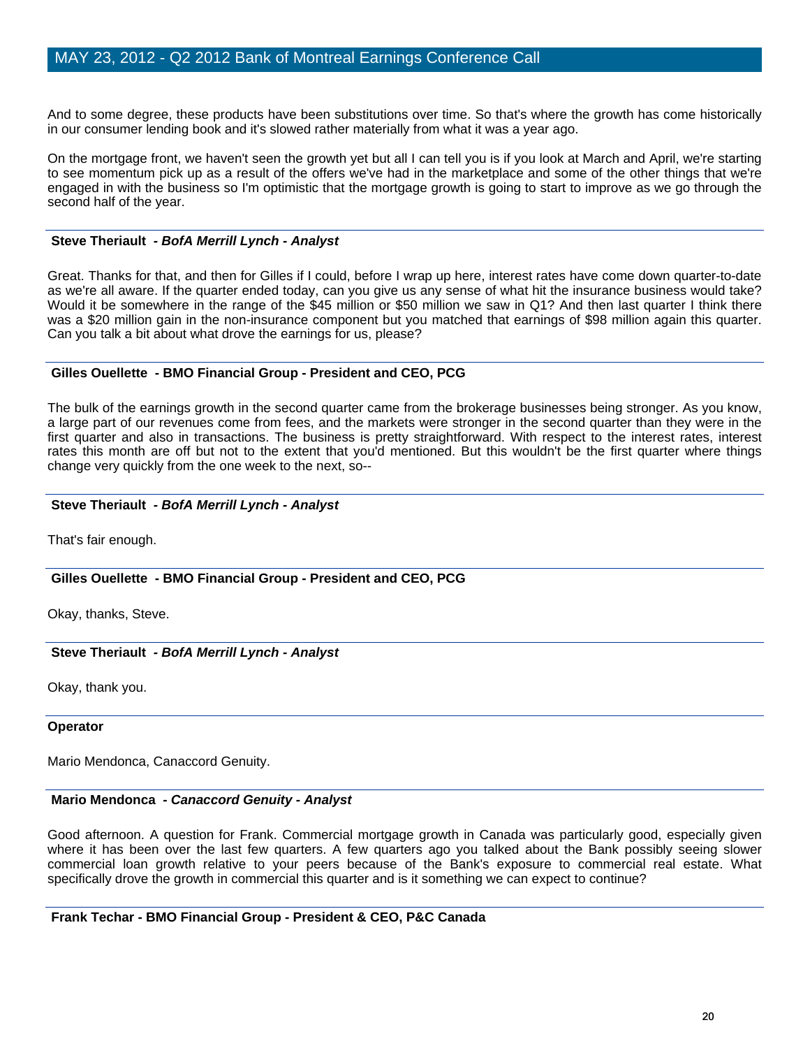And to some degree, these products have been substitutions over time. So that's where the growth has come historically in our consumer lending book and it's slowed rather materially from what it was a year ago.

On the mortgage front, we haven't seen the growth yet but all I can tell you is if you look at March and April, we're starting to see momentum pick up as a result of the offers we've had in the marketplace and some of the other things that we're engaged in with the business so I'm optimistic that the mortgage growth is going to start to improve as we go through the second half of the year.

#### **Steve Theriault** *- BofA Merrill Lynch - Analyst*

Great. Thanks for that, and then for Gilles if I could, before I wrap up here, interest rates have come down quarter-to-date as we're all aware. If the quarter ended today, can you give us any sense of what hit the insurance business would take? Would it be somewhere in the range of the \$45 million or \$50 million we saw in Q1? And then last quarter I think there was a \$20 million gain in the non-insurance component but you matched that earnings of \$98 million again this quarter. Can you talk a bit about what drove the earnings for us, please?

#### **Gilles Ouellette - BMO Financial Group - President and CEO, PCG**

The bulk of the earnings growth in the second quarter came from the brokerage businesses being stronger. As you know, a large part of our revenues come from fees, and the markets were stronger in the second quarter than they were in the first quarter and also in transactions. The business is pretty straightforward. With respect to the interest rates, interest rates this month are off but not to the extent that you'd mentioned. But this wouldn't be the first quarter where things change very quickly from the one week to the next, so--

## **Steve Theriault** *- BofA Merrill Lynch - Analyst*

That's fair enough.

## **Gilles Ouellette - BMO Financial Group - President and CEO, PCG**

Okay, thanks, Steve.

## **Steve Theriault** *- BofA Merrill Lynch - Analyst*

Okay, thank you.

#### **Operator**

Mario Mendonca, Canaccord Genuity.

#### **Mario Mendonca** *- Canaccord Genuity - Analyst*

Good afternoon. A question for Frank. Commercial mortgage growth in Canada was particularly good, especially given where it has been over the last few quarters. A few quarters ago you talked about the Bank possibly seeing slower commercial loan growth relative to your peers because of the Bank's exposure to commercial real estate. What specifically drove the growth in commercial this quarter and is it something we can expect to continue?

 **Frank Techar - BMO Financial Group - President & CEO, P&C Canada**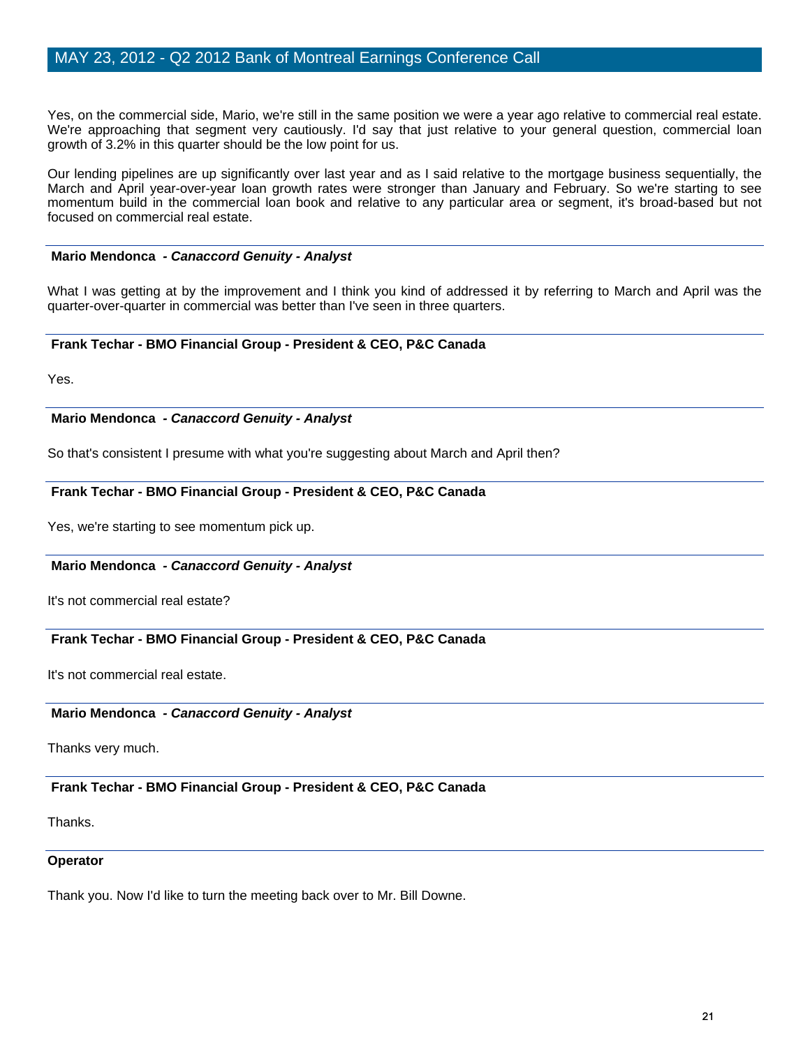Yes, on the commercial side, Mario, we're still in the same position we were a year ago relative to commercial real estate. We're approaching that segment very cautiously. I'd say that just relative to your general question, commercial loan growth of 3.2% in this quarter should be the low point for us.

Our lending pipelines are up significantly over last year and as I said relative to the mortgage business sequentially, the March and April year-over-year loan growth rates were stronger than January and February. So we're starting to see momentum build in the commercial loan book and relative to any particular area or segment, it's broad-based but not focused on commercial real estate.

## **Mario Mendonca** *- Canaccord Genuity - Analyst*

What I was getting at by the improvement and I think you kind of addressed it by referring to March and April was the quarter-over-quarter in commercial was better than I've seen in three quarters.

## **Frank Techar - BMO Financial Group - President & CEO, P&C Canada**

Yes.

## **Mario Mendonca** *- Canaccord Genuity - Analyst*

So that's consistent I presume with what you're suggesting about March and April then?

## **Frank Techar - BMO Financial Group - President & CEO, P&C Canada**

Yes, we're starting to see momentum pick up.

## **Mario Mendonca** *- Canaccord Genuity - Analyst*

It's not commercial real estate?

## **Frank Techar - BMO Financial Group - President & CEO, P&C Canada**

It's not commercial real estate.

## **Mario Mendonca** *- Canaccord Genuity - Analyst*

Thanks very much.

## **Frank Techar - BMO Financial Group - President & CEO, P&C Canada**

Thanks.

## **Operator**

Thank you. Now I'd like to turn the meeting back over to Mr. Bill Downe.